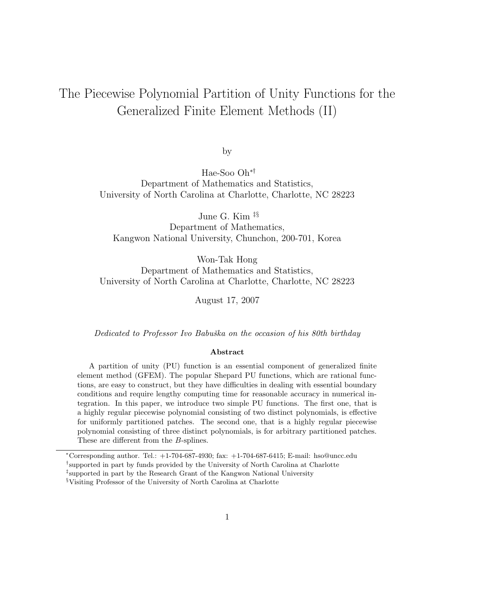# The Piecewise Polynomial Partition of Unity Functions for the Generalized Finite Element Methods (II)

by

Hae-Soo Oh∗† Department of Mathematics and Statistics, University of North Carolina at Charlotte, Charlotte, NC 28223

June G. Kim ‡§ Department of Mathematics, Kangwon National University, Chunchon, 200-701, Korea

Won-Tak Hong Department of Mathematics and Statistics, University of North Carolina at Charlotte, Charlotte, NC 28223

August 17, 2007

Dedicated to Professor Ivo Babuška on the occasion of his 80th birthday

#### Abstract

A partition of unity (PU) function is an essential component of generalized finite element method (GFEM). The popular Shepard PU functions, which are rational functions, are easy to construct, but they have difficulties in dealing with essential boundary conditions and require lengthy computing time for reasonable accuracy in numerical integration. In this paper, we introduce two simple PU functions. The first one, that is a highly regular piecewise polynomial consisting of two distinct polynomials, is effective for uniformly partitioned patches. The second one, that is a highly regular piecewise polynomial consisting of three distinct polynomials, is for arbitrary partitioned patches. These are different from the B-splines.

<sup>∗</sup>Corresponding author. Tel.: +1-704-687-4930; fax: +1-704-687-6415; E-mail: hso@uncc.edu

<sup>†</sup> supported in part by funds provided by the University of North Carolina at Charlotte

<sup>‡</sup> supported in part by the Research Grant of the Kangwon National University

<sup>§</sup>Visiting Professor of the University of North Carolina at Charlotte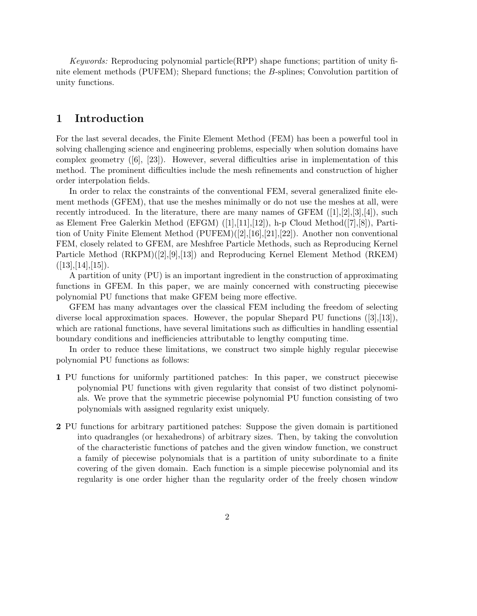*Keywords:* Reproducing polynomial particle  $(RPP)$  shape functions; partition of unity finite element methods (PUFEM); Shepard functions; the B-splines; Convolution partition of unity functions.

## 1 Introduction

For the last several decades, the Finite Element Method (FEM) has been a powerful tool in solving challenging science and engineering problems, especially when solution domains have complex geometry ([6], [23]). However, several difficulties arise in implementation of this method. The prominent difficulties include the mesh refinements and construction of higher order interpolation fields.

In order to relax the constraints of the conventional FEM, several generalized finite element methods (GFEM), that use the meshes minimally or do not use the meshes at all, were recently introduced. In the literature, there are many names of GFEM  $([1],[2],[3],[4])$ , such as Element Free Galerkin Method (EFGM) ([1],[11],[12]), h-p Cloud Method([7],[8]), Partition of Unity Finite Element Method (PUFEM)([2],[16],[21],[22]). Another non conventional FEM, closely related to GFEM, are Meshfree Particle Methods, such as Reproducing Kernel Particle Method (RKPM)([2],[9],[13]) and Reproducing Kernel Element Method (RKEM)  $([13],[14],[15]).$ 

A partition of unity (PU) is an important ingredient in the construction of approximating functions in GFEM. In this paper, we are mainly concerned with constructing piecewise polynomial PU functions that make GFEM being more effective.

GFEM has many advantages over the classical FEM including the freedom of selecting diverse local approximation spaces. However, the popular Shepard PU functions ([3],[13]), which are rational functions, have several limitations such as difficulties in handling essential boundary conditions and inefficiencies attributable to lengthy computing time.

In order to reduce these limitations, we construct two simple highly regular piecewise polynomial PU functions as follows:

- 1 PU functions for uniformly partitioned patches: In this paper, we construct piecewise polynomial PU functions with given regularity that consist of two distinct polynomials. We prove that the symmetric piecewise polynomial PU function consisting of two polynomials with assigned regularity exist uniquely.
- 2 PU functions for arbitrary partitioned patches: Suppose the given domain is partitioned into quadrangles (or hexahedrons) of arbitrary sizes. Then, by taking the convolution of the characteristic functions of patches and the given window function, we construct a family of piecewise polynomials that is a partition of unity subordinate to a finite covering of the given domain. Each function is a simple piecewise polynomial and its regularity is one order higher than the regularity order of the freely chosen window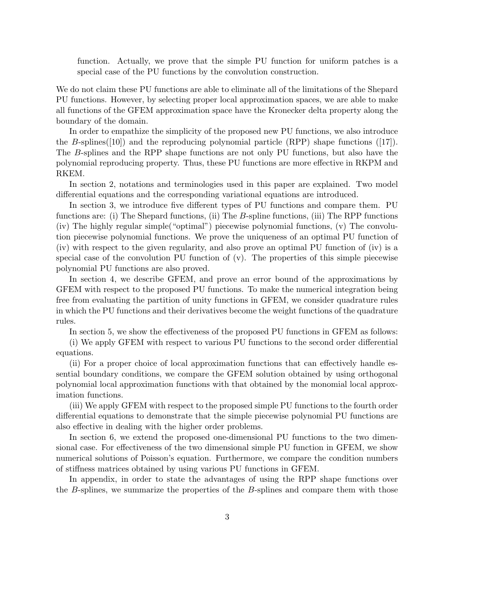function. Actually, we prove that the simple PU function for uniform patches is a special case of the PU functions by the convolution construction.

We do not claim these PU functions are able to eliminate all of the limitations of the Shepard PU functions. However, by selecting proper local approximation spaces, we are able to make all functions of the GFEM approximation space have the Kronecker delta property along the boundary of the domain.

In order to empathize the simplicity of the proposed new PU functions, we also introduce the B-splines([10]) and the reproducing polynomial particle (RPP) shape functions ([17]). The B-splines and the RPP shape functions are not only PU functions, but also have the polynomial reproducing property. Thus, these PU functions are more effective in RKPM and RKEM.

In section 2, notations and terminologies used in this paper are explained. Two model differential equations and the corresponding variational equations are introduced.

In section 3, we introduce five different types of PU functions and compare them. PU functions are: (i) The Shepard functions, (ii) The B-spline functions, (iii) The RPP functions (iv) The highly regular simple("optimal") piecewise polynomial functions, (v) The convolution piecewise polynomial functions. We prove the uniqueness of an optimal PU function of (iv) with respect to the given regularity, and also prove an optimal PU function of (iv) is a special case of the convolution PU function of  $(v)$ . The properties of this simple piecewise polynomial PU functions are also proved.

In section 4, we describe GFEM, and prove an error bound of the approximations by GFEM with respect to the proposed PU functions. To make the numerical integration being free from evaluating the partition of unity functions in GFEM, we consider quadrature rules in which the PU functions and their derivatives become the weight functions of the quadrature rules.

In section 5, we show the effectiveness of the proposed PU functions in GFEM as follows:

(i) We apply GFEM with respect to various PU functions to the second order differential equations.

(ii) For a proper choice of local approximation functions that can effectively handle essential boundary conditions, we compare the GFEM solution obtained by using orthogonal polynomial local approximation functions with that obtained by the monomial local approximation functions.

(iii) We apply GFEM with respect to the proposed simple PU functions to the fourth order differential equations to demonstrate that the simple piecewise polynomial PU functions are also effective in dealing with the higher order problems.

In section 6, we extend the proposed one-dimensional PU functions to the two dimensional case. For effectiveness of the two dimensional simple PU function in GFEM, we show numerical solutions of Poisson's equation. Furthermore, we compare the condition numbers of stiffness matrices obtained by using various PU functions in GFEM.

In appendix, in order to state the advantages of using the RPP shape functions over the B-splines, we summarize the properties of the B-splines and compare them with those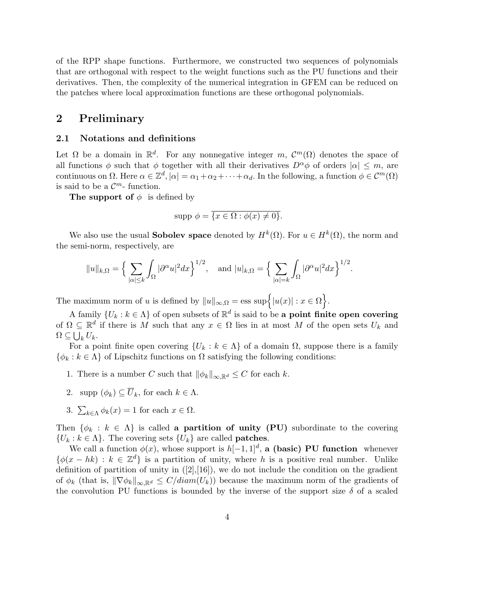of the RPP shape functions. Furthermore, we constructed two sequences of polynomials that are orthogonal with respect to the weight functions such as the PU functions and their derivatives. Then, the complexity of the numerical integration in GFEM can be reduced on the patches where local approximation functions are these orthogonal polynomials.

## 2 Preliminary

## 2.1 Notations and definitions

Let  $\Omega$  be a domain in  $\mathbb{R}^d$ . For any nonnegative integer m,  $\mathcal{C}^m(\Omega)$  denotes the space of all functions  $\phi$  such that  $\phi$  together with all their derivatives  $D^{\alpha}\phi$  of orders  $|\alpha| \leq m$ , are continuous on  $\Omega$ . Here  $\alpha \in \mathbb{Z}^d$ ,  $|\alpha| = \alpha_1 + \alpha_2 + \cdots + \alpha_d$ . In the following, a function  $\phi \in \mathcal{C}^m(\Omega)$ is said to be a  $\mathcal{C}^m$ - function.

The support of  $\phi$  is defined by

$$
supp \phi = \overline{\{x \in \Omega : \phi(x) \neq 0\}}.
$$

We also use the usual **Sobolev space** denoted by  $H^k(\Omega)$ . For  $u \in H^k(\Omega)$ , the norm and the semi-norm, respectively, are

$$
||u||_{k,\Omega} = \Big\{\sum_{|\alpha| \le k} \int_{\Omega} |\partial^{\alpha} u|^2 dx \Big\}^{1/2}, \text{ and } |u|_{k,\Omega} = \Big\{\sum_{|\alpha|=k} \int_{\Omega} |\partial^{\alpha} u|^2 dx \Big\}^{1/2}.
$$

The maximum norm of u is defined by  $||u||_{\infty,\Omega} = \text{ess sup }\Big{ |u(x)| : x \in \Omega \Big\}.$ 

A family  $\{U_k : k \in \Lambda\}$  of open subsets of  $\mathbb{R}^d$  is said to be a point finite open covering of  $\Omega \subseteq \mathbb{R}^d$  if there is M such that any  $x \in \Omega$  lies in at most M of the open sets  $U_k$  and  $\Omega \subseteq \bigcup_k U_k.$ 

For a point finite open covering  $\{U_k : k \in \Lambda\}$  of a domain  $\Omega$ , suppose there is a family  $\{\phi_k : k \in \Lambda\}$  of Lipschitz functions on  $\Omega$  satisfying the following conditions:

- 1. There is a number C such that  $\|\phi_k\|_{\infty} \leq C$  for each k.
- 2. supp  $(\phi_k) \subset \overline{U}_k$ , for each  $k \in \Lambda$ .
- 3.  $\sum_{k\in\Lambda}\phi_k(x)=1$  for each  $x\in\Omega$ .

Then  $\{\phi_k : k \in \Lambda\}$  is called a **partition of unity (PU)** subordinate to the covering  $\{U_k : k \in \Lambda\}$ . The covering sets  $\{U_k\}$  are called **patches**.

We call a function  $\phi(x)$ , whose support is  $h[-1,1]^d$ , a (basic) PU function whenever  $\{\phi(x-hk): k \in \mathbb{Z}^d\}$  is a partition of unity, where h is a positive real number. Unlike definition of partition of unity in  $([2], [16])$ , we do not include the condition on the gradient of  $\phi_k$  (that is,  $\|\nabla \phi_k\|_{\infty} \le C/diam(U_k)$ ) because the maximum norm of the gradients of the convolution PU functions is bounded by the inverse of the support size  $\delta$  of a scaled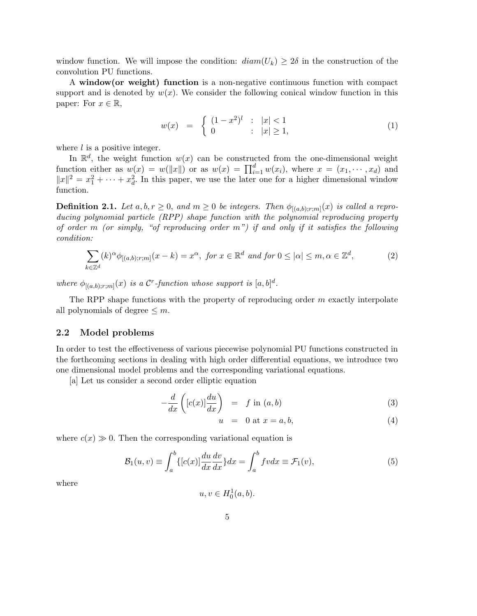window function. We will impose the condition:  $diam(U_k) \geq 2\delta$  in the construction of the convolution PU functions.

A window(or weight) function is a non-negative continuous function with compact support and is denoted by  $w(x)$ . We consider the following conical window function in this paper: For  $x \in \mathbb{R}$ ,

$$
w(x) = \begin{cases} (1-x^2)^l & ; |x| < 1 \\ 0 & ; |x| \ge 1, \end{cases}
$$
 (1)

where  $l$  is a positive integer.

In  $\mathbb{R}^d$ , the weight function  $w(x)$  can be constructed from the one-dimensional weight function either as  $w(x) = w(||x||)$  or as  $w(x) = \prod_{i=1}^d w(x_i)$ , where  $x = (x_1, \dots, x_d)$  and  $||x||^2 = x_1^2 + \cdots + x_d^2$ . In this paper, we use the later one for a higher dimensional window function.

**Definition 2.1.** Let  $a, b, r \ge 0$ , and  $m \ge 0$  be integers. Then  $\phi_{[(a,b);r;m]}(x)$  is called a reproducing polynomial particle (RPP) shape function with the polynomial reproducing property of order m (or simply, "of reproducing order m") if and only if it satisfies the following condition:

$$
\sum_{k \in \mathbb{Z}^d} (k)^\alpha \phi_{[(a,b);r;m]}(x-k) = x^\alpha, \text{ for } x \in \mathbb{R}^d \text{ and for } 0 \leq |\alpha| \leq m, \alpha \in \mathbb{Z}^d,
$$
 (2)

where  $\phi_{[(a,b);r;m]}(x)$  is a C<sup>r</sup>-function whose support is  $[a,b]^d$ .

The RPP shape functions with the property of reproducing order  $m$  exactly interpolate all polynomials of degree  $\leq m$ .

## 2.2 Model problems

In order to test the effectiveness of various piecewise polynomial PU functions constructed in the forthcoming sections in dealing with high order differential equations, we introduce two one dimensional model problems and the corresponding variational equations.

[a] Let us consider a second order elliptic equation

$$
-\frac{d}{dx}\left([c(x)]\frac{du}{dx}\right) = f \text{ in } (a,b)
$$
\n(3)

$$
u = 0 \text{ at } x = a, b,
$$
\n
$$
(4)
$$

where  $c(x) \gg 0$ . Then the corresponding variational equation is

$$
\mathcal{B}_1(u,v) \equiv \int_a^b \{ [c(x)] \frac{du}{dx} \frac{dv}{dx} \} dx = \int_a^b f v dx \equiv \mathcal{F}_1(v), \tag{5}
$$

where

$$
u, v \in H_0^1(a, b).
$$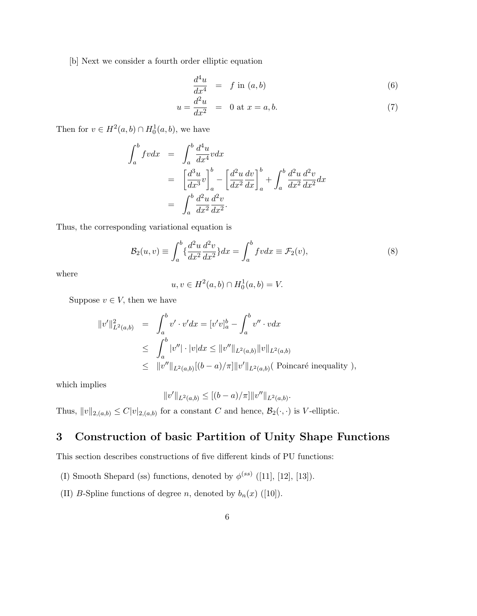[b] Next we consider a fourth order elliptic equation

$$
\frac{d^4u}{dx^4} = f \text{ in } (a, b) \tag{6}
$$

$$
u = \frac{d^2u}{dx^2} = 0 \text{ at } x = a, b. \tag{7}
$$

Then for  $v \in H^2(a, b) \cap H_0^1(a, b)$ , we have

$$
\int_{a}^{b} f v dx = \int_{a}^{b} \frac{d^{4} u}{dx^{4}} v dx
$$
  
= 
$$
\left[ \frac{d^{3} u}{dx^{3}} v \right]_{a}^{b} - \left[ \frac{d^{2} u}{dx^{2}} \frac{dv}{dx} \right]_{a}^{b} + \int_{a}^{b} \frac{d^{2} u}{dx^{2}} \frac{d^{2} v}{dx^{2}} dx
$$
  
= 
$$
\int_{a}^{b} \frac{d^{2} u}{dx^{2}} \frac{d^{2} v}{dx^{2}}.
$$

Thus, the corresponding variational equation is

$$
\mathcal{B}_2(u,v) \equiv \int_a^b \left\{ \frac{d^2u}{dx^2} \frac{d^2v}{dx^2} \right\} dx = \int_a^b f v dx \equiv \mathcal{F}_2(v),\tag{8}
$$

where

$$
u, v \in H^2(a, b) \cap H_0^1(a, b) = V.
$$

Suppose  $v \in V$ , then we have

$$
\|v'\|_{L^{2}(a,b)}^{2} = \int_{a}^{b} v' \cdot v'dx = [v'v]_{a}^{b} - \int_{a}^{b} v'' \cdot vdx
$$
  
\n
$$
\leq \int_{a}^{b} |v''| \cdot |v| dx \leq \|v''\|_{L^{2}(a,b)} \|v\|_{L^{2}(a,b)}
$$
  
\n
$$
\leq \|v''\|_{L^{2}(a,b)} [(b-a)/\pi] \|v'\|_{L^{2}(a,b)} (Poincaré inequality),
$$

which implies

$$
v'\|_{L^2(a,b)} \le [(b-a)/\pi] \|v''\|_{L^2(a,b)}.
$$

Thus,  $||v||_{2,(a,b)} \leq C|v|_{2,(a,b)}$  for a constant C and hence,  $\mathcal{B}_2(\cdot,\cdot)$  is V-elliptic.

# 3 Construction of basic Partition of Unity Shape Functions

This section describes constructions of five different kinds of PU functions:

- (I) Smooth Shepard (ss) functions, denoted by  $\phi^{(ss)}$  ([11], [12], [13]).
- (II) B-Spline functions of degree n, denoted by  $b_n(x)$  ([10]).

 $\big\} \big\|$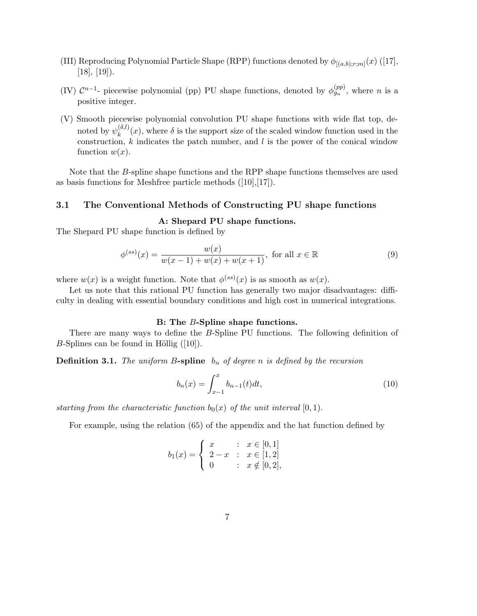- (III) Reproducing Polynomial Particle Shape (RPP) functions denoted by  $\phi_{[(a,b);r;m]}(x)$  ([17],  $[18]$ ,  $[19]$ ).
- (IV)  $\mathcal{C}^{n-1}$  piecewise polynomial (pp) PU shape functions, denoted by  $\phi_{g_n}^{(pp)}$ , where *n* is a positive integer.
- (V) Smooth piecewise polynomial convolution PU shape functions with wide flat top, denoted by  $\psi_k^{(\delta,l)}$  $\kappa^{(0,t)}(x)$ , where  $\delta$  is the support size of the scaled window function used in the construction,  $k$  indicates the patch number, and  $l$  is the power of the conical window function  $w(x)$ .

Note that the B-spline shape functions and the RPP shape functions themselves are used as basis functions for Meshfree particle methods ([10],[17]).

### 3.1 The Conventional Methods of Constructing PU shape functions

#### A: Shepard PU shape functions.

The Shepard PU shape function is defined by

$$
\phi^{(ss)}(x) = \frac{w(x)}{w(x-1) + w(x) + w(x+1)}, \text{ for all } x \in \mathbb{R}
$$
\n(9)

where  $w(x)$  is a weight function. Note that  $\phi^{(ss)}(x)$  is as smooth as  $w(x)$ .

Let us note that this rational PU function has generally two major disadvantages: difficulty in dealing with essential boundary conditions and high cost in numerical integrations.

#### B: The B-Spline shape functions.

There are many ways to define the B-Spline PU functions. The following definition of B-Splines can be found in Höllig  $([10])$ .

**Definition 3.1.** The uniform B-spline  $b_n$  of degree n is defined by the recursion

$$
b_n(x) = \int_{x-1}^x b_{n-1}(t)dt,
$$
\n(10)

starting from the characteristic function  $b_0(x)$  of the unit interval  $[0, 1)$ .

For example, using the relation (65) of the appendix and the hat function defined by

$$
b_1(x) = \begin{cases} x & \text{: } x \in [0,1] \\ 2-x & \text{: } x \in [1,2] \\ 0 & \text{: } x \notin [0,2], \end{cases}
$$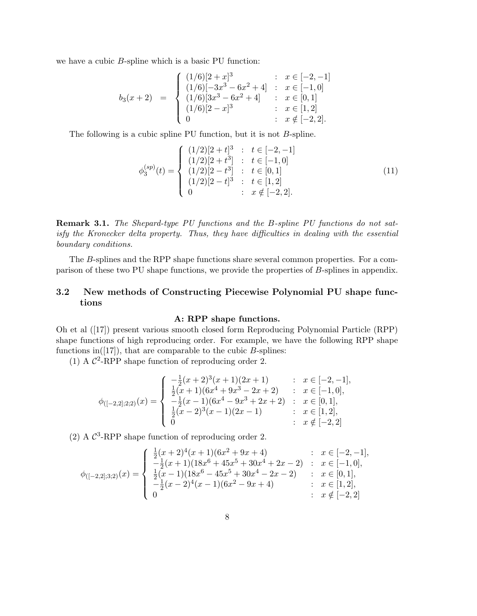we have a cubic B-spline which is a basic PU function:

$$
b_3(x+2) = \begin{cases} (1/6)[2+x]^3 & : x \in [-2,-1] \\ (1/6)[-3x^3 - 6x^2 + 4] & : x \in [-1,0] \\ (1/6)[3x^3 - 6x^2 + 4] & : x \in [0,1] \\ (1/6)[2-x]^3 & : x \in [1,2] \\ 0 & : x \notin [-2,2]. \end{cases}
$$

The following is a cubic spline PU function, but it is not B-spline.

$$
\phi_3^{(sp)}(t) = \begin{cases}\n(1/2)[2+t]^3 & : t \in [-2, -1] \\
(1/2)[2+t^3] & : t \in [-1, 0] \\
(1/2)[2-t^3] & : t \in [0, 1] \\
(1/2)[2-t]^3 & : t \in [1, 2] \\
0 & : x \notin [-2, 2].\n\end{cases}
$$
\n(11)

Remark 3.1. The Shepard-type PU functions and the B-spline PU functions do not satisfy the Kronecker delta property. Thus, they have difficulties in dealing with the essential boundary conditions.

The B-splines and the RPP shape functions share several common properties. For a comparison of these two PU shape functions, we provide the properties of B-splines in appendix.

## 3.2 New methods of Constructing Piecewise Polynomial PU shape functions

### A: RPP shape functions.

Oh et al ([17]) present various smooth closed form Reproducing Polynomial Particle (RPP) shape functions of high reproducing order. For example, we have the following RPP shape functions in( $[17]$ ), that are comparable to the cubic B-splines:

(1) A  $C^2$ -RPP shape function of reproducing order 2.

$$
\phi_{([-2,2];2;2)}(x) = \begin{cases}\n-\frac{1}{2}(x+2)^3(x+1)(2x+1) & : x \in [-2,-1], \\
\frac{1}{2}(x+1)(6x^4+9x^3-2x+2) & : x \in [-1,0], \\
-\frac{1}{2}(x-1)(6x^4-9x^3+2x+2) & : x \in [0,1], \\
\frac{1}{2}(x-2)^3(x-1)(2x-1) & : x \in [1,2], \\
0 & : x \notin [-2,2]\n\end{cases}
$$

(2) A  $\mathcal{C}^3$ -RPP shape function of reproducing order 2.

$$
\phi_{([-2,2];3;2)}(x) = \begin{cases}\n\frac{1}{2}(x+2)^4(x+1)(6x^2+9x+4) & : x \in [-2,-1], \\
-\frac{1}{2}(x+1)(18x^6+45x^5+30x^4+2x-2) & : x \in [-1,0], \\
\frac{1}{2}(x-1)(18x^6-45x^5+30x^4-2x-2) & : x \in [0,1], \\
-\frac{1}{2}(x-2)^4(x-1)(6x^2-9x+4) & : x \in [1,2], \\
0 & : x \notin [-2,2]\n\end{cases}
$$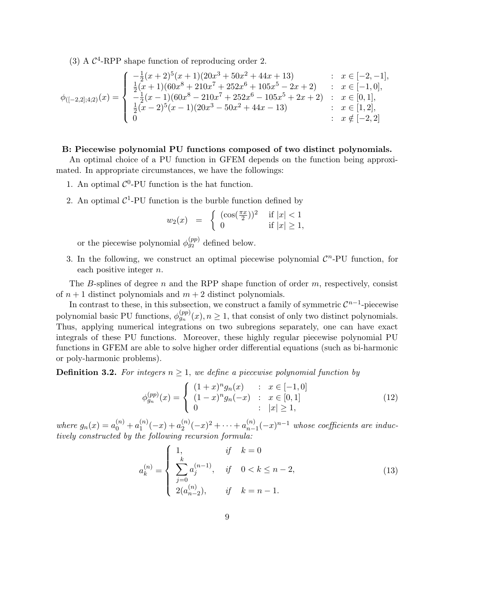(3) A  $C^4$ -RPP shape function of reproducing order 2.

$$
\phi_{([-2,2];4;2)}(x) = \begin{cases}\n-\frac{1}{2}(x+2)^5(x+1)(20x^3+50x^2+44x+13) & : x \in [-2,-1], \\
\frac{1}{2}(x+1)(60x^8+210x^7+252x^6+105x^5-2x+2) & : x \in [-1,0], \\
-\frac{1}{2}(x-1)(60x^8-210x^7+252x^6-105x^5+2x+2) & : x \in [0,1], \\
\frac{1}{2}(x-2)^5(x-1)(20x^3-50x^2+44x-13) & : x \in [1,2], \\
0 & : x \notin [-2,2]\n\end{cases}
$$

### B: Piecewise polynomial PU functions composed of two distinct polynomials.

An optimal choice of a PU function in GFEM depends on the function being approximated. In appropriate circumstances, we have the followings:

- 1. An optimal  $\mathcal{C}^0$ -PU function is the hat function.
- 2. An optimal  $C^1$ -PU function is the burble function defined by

$$
w_2(x) = \begin{cases} (\cos(\frac{\pi x}{2}))^2 & \text{if } |x| < 1\\ 0 & \text{if } |x| \ge 1, \end{cases}
$$

or the piecewise polynomial  $\phi_{g_2}^{(pp)}$  defined below.

3. In the following, we construct an optimal piecewise polynomial  $\mathcal{C}^n$ -PU function, for each positive integer n.

The B-splines of degree  $n$  and the RPP shape function of order  $m$ , respectively, consist of  $n + 1$  distinct polynomials and  $m + 2$  distinct polynomials.

In contrast to these, in this subsection, we construct a family of symmetric  $\mathcal{C}^{n-1}$ -piecewise polynomial basic PU functions,  $\phi_{g_n}^{(pp)}(x), n \ge 1$ , that consist of only two distinct polynomials. Thus, applying numerical integrations on two subregions separately, one can have exact integrals of these PU functions. Moreover, these highly regular piecewise polynomial PU functions in GFEM are able to solve higher order differential equations (such as bi-harmonic or poly-harmonic problems).

**Definition 3.2.** For integers  $n \geq 1$ , we define a piecewise polynomial function by

$$
\phi_{g_n}^{(pp)}(x) = \begin{cases}\n(1+x)^n g_n(x) & : x \in [-1,0] \\
(1-x)^n g_n(-x) & : x \in [0,1] \\
0 & : |x| \ge 1,\n\end{cases}
$$
\n(12)

where  $g_n(x) = a_0^{(n)} + a_1^{(n)}$  $a_1^{(n)}(-x) + a_2^{(n)}$  $a_2^{(n)}(-x)^2 + \cdots + a_{n-1}^{(n)}$  $_{n-1}^{(n)}(-x)^{n-1}$  whose coefficients are inductively constructed by the following recursion formula:

$$
a_k^{(n)} = \begin{cases} 1, & \text{if } k = 0\\ \sum_{j=0}^k a_j^{(n-1)}, & \text{if } 0 < k \le n-2, \\ 2(a_{n-2}^{(n)}), & \text{if } k = n-1. \end{cases} \tag{13}
$$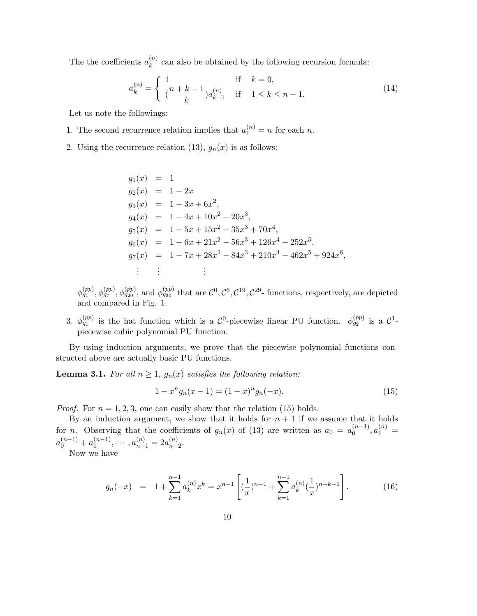The the coefficients  $a_k^{(n)}$  $\binom{n}{k}$  can also be obtained by the following recursion formula:

$$
a_k^{(n)} = \begin{cases} 1 & \text{if } k = 0, \\ \left(\frac{n+k-1}{k}\right)a_{k-1}^{(n)} & \text{if } 1 \le k \le n-1. \end{cases}
$$
 (14)

Let us note the followings:

- 1. The second recurrence relation implies that  $a_1^{(n)} = n$  for each n.
- 2. Using the recurrence relation (13),  $g_n(x)$  is as follows:

$$
g_1(x) = 1
$$
  
\n
$$
g_2(x) = 1 - 2x
$$
  
\n
$$
g_3(x) = 1 - 3x + 6x^2
$$
  
\n
$$
g_4(x) = 1 - 4x + 10x^2 - 20x^3
$$
  
\n
$$
g_5(x) = 1 - 5x + 15x^2 - 35x^3 + 70x^4
$$
  
\n
$$
g_6(x) = 1 - 6x + 21x^2 - 56x^3 + 126x^4 - 252x^5
$$
  
\n
$$
g_7(x) = 1 - 7x + 28x^2 - 84x^3 + 210x^4 - 462x^5 + 924x^6
$$
  
\n
$$
\vdots \qquad \vdots
$$

 $\phi_{g_1}^{(pp)}, \phi_{g_7}^{(pp)}, \phi_{g_{20}}^{(pp)}$ , and  $\phi_{g_{30}}^{(pp)}$  that are  $\mathcal{C}^0, \mathcal{C}^6, \mathcal{C}^{19}, \mathcal{C}^{29}$ - functions, respectively, are depicted and compared in Fig. 1.

3.  $\phi_{g_1}^{(pp)}$  is the hat function which is a  $\mathcal{C}^0$ -piecewise linear PU function.  $\phi_{g_2}^{(pp)}$  is a  $\mathcal{C}^1$ piecewise cubic polynomial PU function.

By using induction arguments, we prove that the piecewise polynomial functions constructed above are actually basic PU functions.

**Lemma 3.1.** For all  $n \geq 1$ ,  $g_n(x)$  satisfies the following relation:

$$
1 - x^n g_n(x - 1) = (1 - x)^n g_n(-x).
$$
\n(15)

*Proof.* For  $n = 1, 2, 3$ , one can easily show that the relation (15) holds.

By an induction argument, we show that it holds for  $n + 1$  if we assume that it holds for *n*. Observing that the coefficients of  $g_n(x)$  of (13) are written as  $a_0 = a_0^{(n-1)}$  $a_0^{(n-1)}, a_1^{(n)} =$  $a_0^{(n-1)} + a_1^{(n-1)}$  $a_{1}^{(n-1)}, \cdots, a_{n-1}^{(n)} = 2a_{n-1}^{(n)}$  $\binom{n}{n-2}$ .

Now we have

$$
g_n(-x) = 1 + \sum_{k=1}^{n-1} a_k^{(n)} x^k = x^{n-1} \left[ \left( \frac{1}{x} \right)^{n-1} + \sum_{k=1}^{n-1} a_k^{(n)} \left( \frac{1}{x} \right)^{n-k-1} \right]. \tag{16}
$$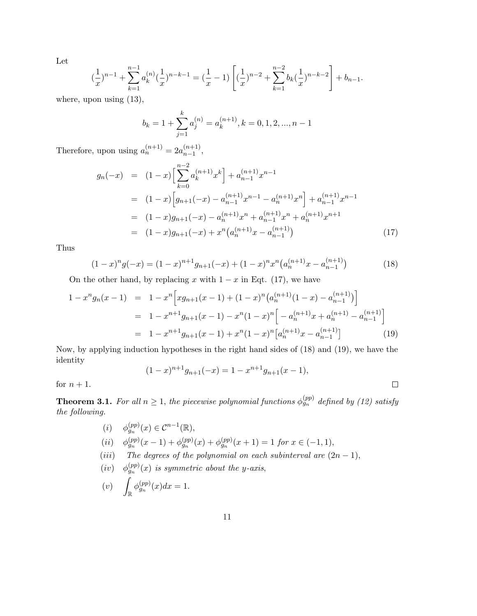Let

$$
(\frac{1}{x})^{n-1} + \sum_{k=1}^{n-1} a_k^{(n)} (\frac{1}{x})^{n-k-1} = (\frac{1}{x}-1) \left[ (\frac{1}{x})^{n-2} + \sum_{k=1}^{n-2} b_k (\frac{1}{x})^{n-k-2} \right] + b_{n-1}.
$$

where, upon using  $(13)$ ,

$$
b_k = 1 + \sum_{j=1}^{k} a_j^{(n)} = a_k^{(n+1)}, k = 0, 1, 2, ..., n-1
$$

Therefore, upon using  $a_n^{(n+1)} = 2a_{n-1}^{(n+1)}$  $\frac{(n+1)}{n-1},$ 

$$
g_n(-x) = (1-x) \left[ \sum_{k=0}^{n-2} a_k^{(n+1)} x^k \right] + a_{n-1}^{(n+1)} x^{n-1}
$$
  
\n
$$
= (1-x) \left[ g_{n+1}(-x) - a_{n-1}^{(n+1)} x^{n-1} - a_n^{(n+1)} x^n \right] + a_{n-1}^{(n+1)} x^{n-1}
$$
  
\n
$$
= (1-x) g_{n+1}(-x) - a_n^{(n+1)} x^n + a_{n-1}^{(n+1)} x^n + a_n^{(n+1)} x^{n+1}
$$
  
\n
$$
= (1-x) g_{n+1}(-x) + x^n \left( a_n^{(n+1)} x - a_{n-1}^{(n+1)} \right)
$$
 (17)

Thus

$$
(1-x)^{n}g(-x) = (1-x)^{n+1}g_{n+1}(-x) + (1-x)^{n}x^{n}\left(a_{n}^{(n+1)}x - a_{n-1}^{(n+1)}\right)
$$
(18)

On the other hand, by replacing x with  $1 - x$  in Eqt. (17), we have

$$
1 - x^{n}g_{n}(x - 1) = 1 - x^{n}\left[xg_{n+1}(x - 1) + (1 - x)^{n}\left(a_{n}^{(n+1)}(1 - x) - a_{n-1}^{(n+1)}\right)\right]
$$
  

$$
= 1 - x^{n+1}g_{n+1}(x - 1) - x^{n}(1 - x)^{n}\left[-a_{n}^{(n+1)}x + a_{n}^{(n+1)} - a_{n-1}^{(n+1)}\right]
$$
  

$$
= 1 - x^{n+1}g_{n+1}(x - 1) + x^{n}(1 - x)^{n}\left[a_{n}^{(n+1)}x - a_{n-1}^{(n+1)}\right]
$$
(19)

Now, by applying induction hypotheses in the right hand sides of (18) and (19), we have the identity

$$
(1-x)^{n+1}g_{n+1}(-x) = 1 - x^{n+1}g_{n+1}(x-1),
$$

for  $n + 1$ .

**Theorem 3.1.** For all  $n \geq 1$ , the piecewise polynomial functions  $\phi_{g_n}^{(pp)}$  defined by (12) satisfy the following.

\n- (i) 
$$
\phi_{g_n}^{(pp)}(x) \in \mathcal{C}^{n-1}(\mathbb{R}),
$$
\n- (ii)  $\phi_{g_n}^{(pp)}(x-1) + \phi_{g_n}^{(pp)}(x) + \phi_{g_n}^{(pp)}(x+1) = 1$  for  $x \in (-1,1),$
\n- (iii) The degrees of the polynomial on each subinterval are  $(2n-1)$ ,
\n

 $(iv)$   $\phi_{g_n}^{(pp)}(x)$  is symmetric about the y-axis,

$$
(v) \quad \int_{\mathbb{R}} \phi_{g_n}^{(pp)}(x) dx = 1.
$$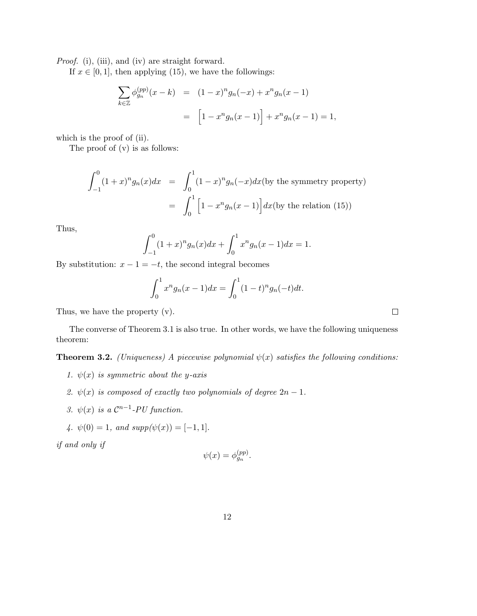Proof. (i), (iii), and (iv) are straight forward.

If  $x \in [0, 1]$ , then applying (15), we have the followings:

$$
\sum_{k \in \mathbb{Z}} \phi_{g_n}^{(pp)}(x - k) = (1 - x)^n g_n(-x) + x^n g_n(x - 1)
$$
  
= 
$$
\left[1 - x^n g_n(x - 1)\right] + x^n g_n(x - 1) = 1,
$$

which is the proof of (ii).

The proof of (v) is as follows:

$$
\int_{-1}^{0} (1+x)^n g_n(x) dx = \int_{0}^{1} (1-x)^n g_n(-x) dx
$$
(by the symmetry property)  

$$
= \int_{0}^{1} \left[1 - x^n g_n(x-1)\right] dx
$$
(by the relation (15))

Thus,

$$
\int_{-1}^{0} (1+x)^n g_n(x) dx + \int_{0}^{1} x^n g_n(x-1) dx = 1.
$$

By substitution:  $x - 1 = -t$ , the second integral becomes

$$
\int_0^1 x^n g_n(x-1) dx = \int_0^1 (1-t)^n g_n(-t) dt.
$$

Thus, we have the property (v).

The converse of Theorem 3.1 is also true. In other words, we have the following uniqueness theorem:

**Theorem 3.2.** (Uniqueness) A piecewise polynomial  $\psi(x)$  satisfies the following conditions:

- 1.  $\psi(x)$  is symmetric about the y-axis
- 2.  $\psi(x)$  is composed of exactly two polynomials of degree  $2n-1$ .
- 3.  $\psi(x)$  is a  $\mathcal{C}^{n-1}$ -PU function.
- 4.  $\psi(0) = 1$ , and  $supp(\psi(x)) = [-1, 1].$

if and only if

$$
\psi(x) = \phi_{g_n}^{(pp)}.
$$

 $\Box$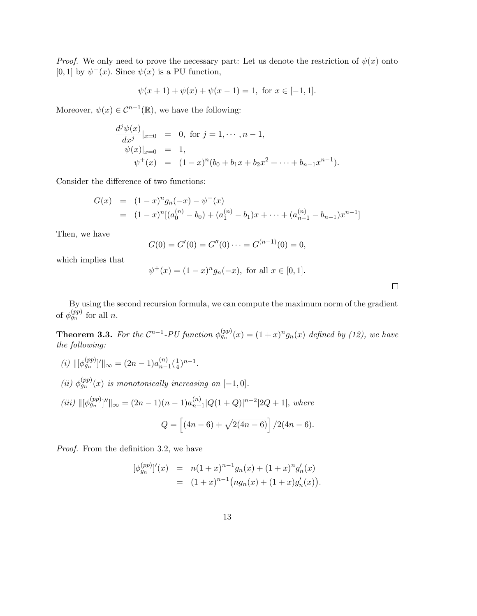*Proof.* We only need to prove the necessary part: Let us denote the restriction of  $\psi(x)$  onto [0, 1] by  $\psi^+(x)$ . Since  $\psi(x)$  is a PU function,

$$
\psi(x+1) + \psi(x) + \psi(x-1) = 1, \text{ for } x \in [-1, 1].
$$

Moreover,  $\psi(x) \in C^{n-1}(\mathbb{R})$ , we have the following:

$$
\frac{d^j \psi(x)}{dx^j}|_{x=0} = 0, \text{ for } j = 1, \dots, n-1,
$$
  
\n
$$
\psi(x)|_{x=0} = 1,
$$
  
\n
$$
\psi^+(x) = (1-x)^n (b_0 + b_1 x + b_2 x^2 + \dots + b_{n-1} x^{n-1}).
$$

Consider the difference of two functions:

$$
G(x) = (1-x)^n g_n(-x) - \psi^+(x)
$$
  
=  $(1-x)^n [(a_0^{(n)} - b_0) + (a_1^{(n)} - b_1)x + \dots + (a_{n-1}^{(n)} - b_{n-1})x^{n-1}]$ 

Then, we have

$$
G(0) = G'(0) = G''(0) \cdots = G^{(n-1)}(0) = 0,
$$

which implies that

$$
\psi^+(x) = (1-x)^n g_n(-x), \text{ for all } x \in [0,1].
$$

 $\Box$ 

By using the second recursion formula, we can compute the maximum norm of the gradient of  $\phi_{g_n}^{(pp)}$  for all n.

**Theorem 3.3.** For the  $\mathcal{C}^{n-1}$ -PU function  $\phi_{g_n}^{(pp)}(x) = (1+x)^n g_n(x)$  defined by (12), we have the following:

(i)  $\|[\phi_{g_n}^{(pp)}]' \|_{\infty} = (2n - 1)a_{n-}^{(n)}$  $_{n-1}^{(n)}$ ( $\frac{1}{4}$  $\frac{1}{4})^{n-1}.$ (ii)  $\phi_{g_n}^{(pp)}(x)$  is monotonically increasing on  $[-1,0]$ .  $(iii)$   $\|[\phi_{g_n}^{(pp)}]''\|_{\infty} = (2n-1)(n-1)a_{n-}^{(n)}$  $_{n-1}^{(n)}|Q(1+Q)|^{n-2}|2Q+1|, where$  $Q = \left[ (4n - 6) + \sqrt{2(4n - 6)} \right] / 2(4n - 6).$ 

Proof. From the definition 3.2, we have

$$
[\phi_{g_n}^{(pp)}]'(x) = n(1+x)^{n-1}g_n(x) + (1+x)^n g'_n(x)
$$
  
= 
$$
(1+x)^{n-1} (ng_n(x) + (1+x)g'_n(x)).
$$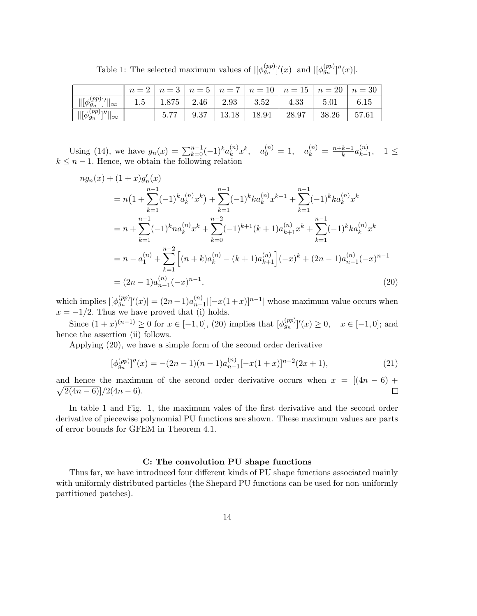Table 1: The selected maximum values of  $|[\phi_{g_n}^{(pp)}]'(x)|$  and  $|[\phi_{g_n}^{(pp)}]''(x)|$ .

|                                                  | $n =$ | $n=3$ | $n=5$ |       |       | $n=7$   $n=10$   $n=15$   $n=20$ |       | $n=30$ |
|--------------------------------------------------|-------|-------|-------|-------|-------|----------------------------------|-------|--------|
| $(pp)_{11}$<br>$\Vert [\phi_{g_n}^{(p)}]$<br>,∣∞ | C.1   | 1.875 | 2.46  | 2.93  | 3.52  | 4.33                             | 5.01  | 6.15   |
| $\ [\phi_{g_n}^{(pp)}]''\ $<br>$\infty$          |       | 5.77  |       | 13.18 | 18.94 | 28.97                            | 38.26 | 57.61  |

Using (14), we have  $g_n(x) = \sum_{k=0}^{n-1} (-1)^k a_k^{(n)}$  $\binom{n}{k} x^k$ ,  $a_0^{(n)} = 1$ ,  $a_k^{(n)} = \frac{n+k-1}{k}$  $\frac{k-1}{k}a_{k-}^{(n)}$  $\binom{n}{k-1}$ , 1  $\leq$  $k \leq n-1$ . Hence, we obtain the following relation

$$
ng_n(x) + (1+x)g'_n(x)
$$
  
\n
$$
= n(1 + \sum_{k=1}^{n-1} (-1)^k a_k^{(n)} x^k) + \sum_{k=1}^{n-1} (-1)^k k a_k^{(n)} x^{k-1} + \sum_{k=1}^{n-1} (-1)^k k a_k^{(n)} x^k
$$
  
\n
$$
= n + \sum_{k=1}^{n-1} (-1)^k n a_k^{(n)} x^k + \sum_{k=0}^{n-2} (-1)^{k+1} (k+1) a_{k+1}^{(n)} x^k + \sum_{k=1}^{n-1} (-1)^k k a_k^{(n)} x^k
$$
  
\n
$$
= n - a_1^{(n)} + \sum_{k=1}^{n-2} \left[ (n+k) a_k^{(n)} - (k+1) a_{k+1}^{(n)} \right] (-x)^k + (2n - 1) a_{n-1}^{(n)} (-x)^{n-1}
$$
  
\n
$$
= (2n - 1) a_{n-1}^{(n)} (-x)^{n-1},
$$
\n(20)

which implies  $|[\phi_{g_n}^{(pp)}]'(x)| = (2n-1)a_{n-1}^{(n)}$  $\sum_{n=1}^{(n)}|[-x(1+x)]^{n-1}|$  whose maximum value occurs when  $x = -1/2$ . Thus we have proved that (i) holds.

Since  $(1+x)^{(n-1)} \ge 0$  for  $x \in [-1,0]$ , (20) implies that  $[\phi_{g_n}^{(pp)}]'(x) \ge 0$ ,  $x \in [-1,0]$ ; and hence the assertion (ii) follows.

Applying (20), we have a simple form of the second order derivative

$$
[\phi_{g_n}^{(pp)}]''(x) = -(2n-1)(n-1)a_{n-1}^{(n)}[-x(1+x)]^{n-2}(2x+1), \tag{21}
$$

and hence the maximum of the second order derivative occurs when  $x = [(4n - 6) +$  $\sqrt{2(4n-6)}$ )/2(4n – 6).

In table 1 and Fig. 1, the maximum vales of the first derivative and the second order derivative of piecewise polynomial PU functions are shown. These maximum values are parts of error bounds for GFEM in Theorem 4.1.

## C: The convolution PU shape functions

Thus far, we have introduced four different kinds of PU shape functions associated mainly with uniformly distributed particles (the Shepard PU functions can be used for non-uniformly partitioned patches).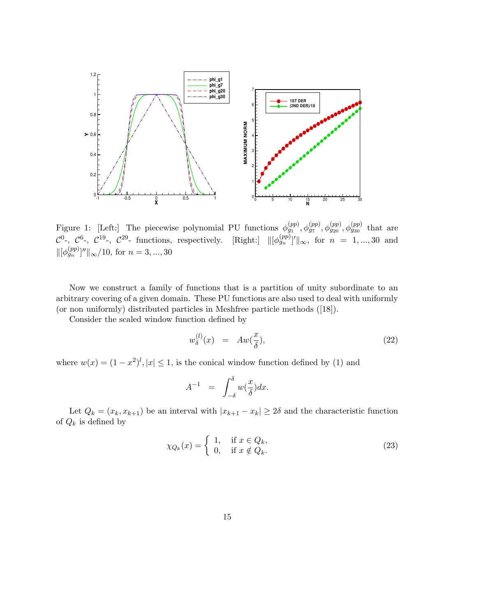

Figure 1: [Left:] The piecewise polynomial PU functions  $\phi_{g_1}^{(pp)}, \phi_{g_7}^{(pp)}, \phi_{g_{20}}^{(pp)}, \phi_{g_{30}}^{(pp)}$  that are  $C^0$ -,  $C^6$ -,  $C^{19}$ -,  $C^{29}$ - functions, respectively. [Right:]  $\|\phi_{g_n}^{(pp)}\|_{\infty}$ , for  $n = 1,...,30$  and  $\| [\phi_{g_n}^{(pp)}]'' \|_{\infty} / 10$ , for  $n = 3, ..., 30$ 

Now we construct a family of functions that is a partition of unity subordinate to an arbitrary covering of a given domain. These PU functions are also used to deal with uniformly (or non uniformly) distributed particles in Meshfree particle methods ([18]).

Consider the scaled window function defined by

$$
w_{\delta}^{(l)}(x) = Aw(\frac{x}{\delta}), \qquad (22)
$$

where  $w(x) = (1 - x^2)^l$ ,  $|x| \le 1$ , is the conical window function defined by (1) and

$$
A^{-1} = \int_{-\delta}^{\delta} w(\frac{x}{\delta}) dx.
$$

Let  $Q_k = (x_k, x_{k+1})$  be an interval with  $|x_{k+1} - x_k| \ge 2\delta$  and the characteristic function of  $Q_k$  is defined by

$$
\chi_{Q_k}(x) = \begin{cases} 1, & \text{if } x \in Q_k, \\ 0, & \text{if } x \notin Q_k. \end{cases}
$$
 (23)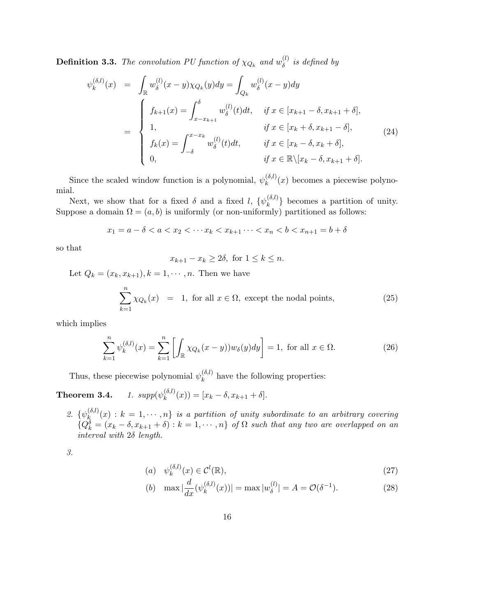**Definition 3.3.** The convolution PU function of  $\chi_{Q_k}$  and  $w_{\delta}^{(l)}$  $\delta^{(i)}$  is defined by

$$
\psi_k^{(\delta,l)}(x) = \int_{\mathbb{R}} w_{\delta}^{(l)}(x - y) \chi_{Q_k}(y) dy = \int_{Q_k} w_{\delta}^{(l)}(x - y) dy
$$
  
\n
$$
= \begin{cases}\nf_{k+1}(x) = \int_{x - x_{k+1}}^{\delta} w_{\delta}^{(l)}(t) dt, & \text{if } x \in [x_{k+1} - \delta, x_{k+1} + \delta], \\
1, & \text{if } x \in [x_k + \delta, x_{k+1} - \delta], \\
f_k(x) = \int_{-\delta}^{x - x_k} w_{\delta}^{(l)}(t) dt, & \text{if } x \in [x_k - \delta, x_k + \delta], \\
0, & \text{if } x \in \mathbb{R} \setminus [x_k - \delta, x_{k+1} + \delta].\n\end{cases}
$$
\n(24)

Since the scaled window function is a polynomial,  $\psi_k^{(\delta,l)}$  $k^{(0,\nu)}(x)$  becomes a piecewise polynomial.

Next, we show that for a fixed  $\delta$  and a fixed l,  $\{\psi_k^{(\delta,l)}\}$  $\{e^{(o,t)}\}\)$  becomes a partition of unity. Suppose a domain  $\Omega = (a, b)$  is uniformly (or non-uniformly) partitioned as follows:

$$
x_1 = a - \delta < a < x_2 < \dotsb x_k < x_{k+1} \dots < x_n < b < x_{n+1} = b + \delta
$$

so that

$$
x_{k+1} - x_k \ge 2\delta, \text{ for } 1 \le k \le n.
$$

Let  $Q_k = (x_k, x_{k+1}), k = 1, \dots, n$ . Then we have

$$
\sum_{k=1}^{n} \chi_{Q_k}(x) = 1, \text{ for all } x \in \Omega, \text{ except the nodal points,}
$$
 (25)

which implies

$$
\sum_{k=1}^{n} \psi_k^{(\delta,l)}(x) = \sum_{k=1}^{n} \left[ \int_{\mathbb{R}} \chi_{Q_k}(x-y) w_\delta(y) dy \right] = 1, \text{ for all } x \in \Omega.
$$
 (26)

Thus, these piecewise polynomial  $\psi_k^{(\delta,l)}$  $\kappa^{(0,\nu)}$  have the following properties:

Theorem 3.4.  $(\delta, l)$  $k^{(0,t)}(x) = [x_k - \delta, x_{k+1} + \delta].$ 

2.  $\{\psi_k^{(\delta, l)}\}$  $\mathcal{L}_{k}^{(0,t)}(x): k = 1, \cdots, n$  is a partition of unity subordinate to an arbitrary covering  ${Q_k^{\delta} = (x_k - \delta, x_{k+1} + \delta) : k = 1, \cdots, n}$  of  $\Omega$  such that any two are overlapped on an interval with  $2\delta$  length.

3.

$$
(a) \quad \psi_k^{(\delta,l)}(x) \in \mathcal{C}^l(\mathbb{R}),\tag{27}
$$

(b) 
$$
\max |\frac{d}{dx}(\psi_k^{(\delta,l)}(x))| = \max |w_{\delta}^{(l)}| = A = \mathcal{O}(\delta^{-1}).
$$
 (28)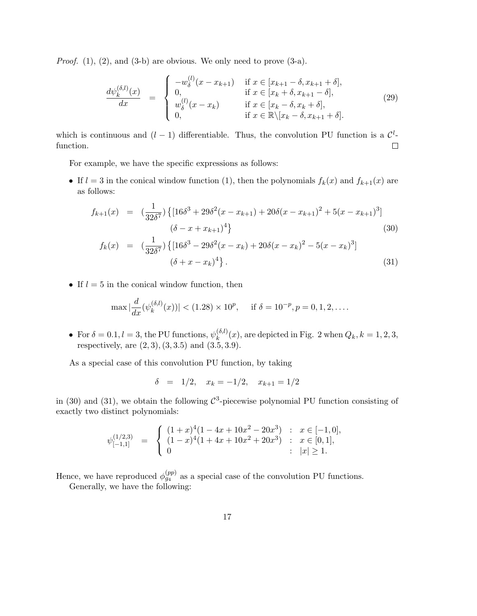*Proof.* (1), (2), and (3-b) are obvious. We only need to prove  $(3-a)$ .

$$
\frac{d\psi_k^{(\delta,l)}(x)}{dx} = \begin{cases}\n-w_\delta^{(l)}(x - x_{k+1}) & \text{if } x \in [x_{k+1} - \delta, x_{k+1} + \delta], \\
0, & \text{if } x \in [x_k + \delta, x_{k+1} - \delta], \\
w_\delta^{(l)}(x - x_k) & \text{if } x \in [x_k - \delta, x_k + \delta], \\
0, & \text{if } x \in \mathbb{R} \setminus [x_k - \delta, x_{k+1} + \delta].\n\end{cases} (29)
$$

which is continuous and  $(l-1)$  differentiable. Thus, the convolution PU function is a  $\mathcal{C}^l$ function.

For example, we have the specific expressions as follows:

• If  $l = 3$  in the conical window function (1), then the polynomials  $f_k(x)$  and  $f_{k+1}(x)$  are as follows:

$$
f_{k+1}(x) = \left(\frac{1}{32\delta^7}\right) \left\{ \left[16\delta^3 + 29\delta^2(x - x_{k+1}) + 20\delta(x - x_{k+1})^2 + 5(x - x_{k+1})^3\right] \right. \\ \left. \left(\delta - x + x_{k+1}\right)^4 \right\} \tag{30}
$$

$$
f_k(x) = \left(\frac{1}{32\delta^7}\right) \left\{ \left[16\delta^3 - 29\delta^2(x - x_k) + 20\delta(x - x_k)^2 - 5(x - x_k)^3\right] \right. \\ \left. \left(\delta + x - x_k\right)^4 \right\} . \tag{31}
$$

• If  $l = 5$  in the conical window function, then

$$
\max |\frac{d}{dx}(\psi_k^{(\delta,l)}(x))| < (1.28) \times 10^p, \quad \text{if } \delta = 10^{-p}, p = 0, 1, 2, \dots.
$$

• For  $\delta = 0.1, l = 3$ , the PU functions,  $\psi_k^{(\delta, l)}$  $\mathcal{R}_k^{(0,t)}(x)$ , are depicted in Fig. 2 when  $Q_k, k = 1, 2, 3,$ respectively, are  $(2, 3), (3, 3.5)$  and  $(3.5, 3.9)$ .

As a special case of this convolution PU function, by taking

$$
\delta = 1/2, \quad x_k = -1/2, \quad x_{k+1} = 1/2
$$

in (30) and (31), we obtain the following  $\mathcal{C}^3$ -piecewise polynomial PU function consisting of exactly two distinct polynomials:

$$
\psi_{[-1,1]}^{(1/2,3)} = \begin{cases}\n(1+x)^4(1-4x+10x^2-20x^3) & : x \in [-1,0], \\
(1-x)^4(1+4x+10x^2+20x^3) & : x \in [0,1], \\
0 & : |x| \ge 1.\n\end{cases}
$$

Hence, we have reproduced  $\phi_{g_4}^{(pp)}$  as a special case of the convolution PU functions.

Generally, we have the following: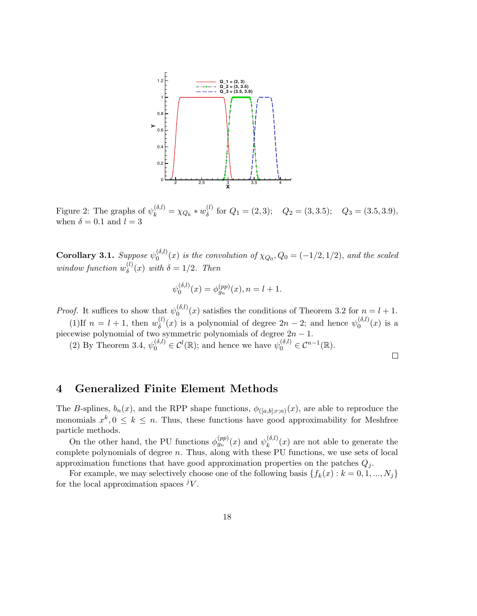

Figure 2: The graphs of  $\psi_k^{(\delta,l)} = \chi_{Q_k} * w_{\delta}^{(l)}$  $Q_0^{(1)}$  for  $Q_1 = (2, 3);$   $Q_2 = (3, 3.5);$   $Q_3 = (3.5, 3.9),$ when  $\delta = 0.1$  and  $l = 3$ 

Corollary 3.1. Suppose  $\psi_0^{(\delta,l)}$  $\mathcal{O}_0^{(0,0)}(x)$  is the convolution of  $\chi_{Q_0}, Q_0 = (-1/2, 1/2)$ , and the scaled window function  $w_{\delta}^{(l)}$  $\delta^{(i)}(\mathbf{x})$  with  $\delta = 1/2$ . Then

$$
\psi_0^{(\delta,l)}(x) = \phi_{g_n}^{(pp)}(x), n = l + 1.
$$

*Proof.* It suffices to show that  $\psi_0^{(\delta,l)}$  $\int_0^{\infty} f(x)$  satisfies the conditions of Theorem 3.2 for  $n = l + 1$ .

(1)If  $n = l + 1$ , then  $w_{\delta}^{(l)}(x)$  is a polynomial of degree  $2n - 2$ ; and hence  $\psi_0^{(\delta, l)}$ (1)  $\hat{n} = i + 1$ , then  $\omega_{\delta}(x)$  is a polynomial of degree  $2n - 2$ , a piecewise polynomial of two symmetric polynomials of degree  $2n - 1$ .  $0^{(0,\nu)}(x)$  is a

(2) By Theorem 3.4,  $\psi_0^{(\delta,l)} \in C^l(\mathbb{R})$ ; and hence we have  $\psi_0^{(\delta,l)} \in C^{n-1}(\mathbb{R})$ .

## 4 Generalized Finite Element Methods

The B-splines,  $b_n(x)$ , and the RPP shape functions,  $\phi_{([a,b];r;n)}(x)$ , are able to reproduce the monomials  $x^k, 0 \leq k \leq n$ . Thus, these functions have good approximability for Meshfree particle methods.

On the other hand, the PU functions  $\phi_{g_n}^{(pp)}(x)$  and  $\psi_k^{(\delta,l)}$  $k^{(0,\nu)}(x)$  are not able to generate the complete polynomials of degree  $n$ . Thus, along with these PU functions, we use sets of local approximation functions that have good approximation properties on the patches  $Q_i$ .

For example, we may selectively choose one of the following basis  $\{f_k(x) : k = 0, 1, ..., N_j\}$ for the local approximation spaces  ${}^jV$ .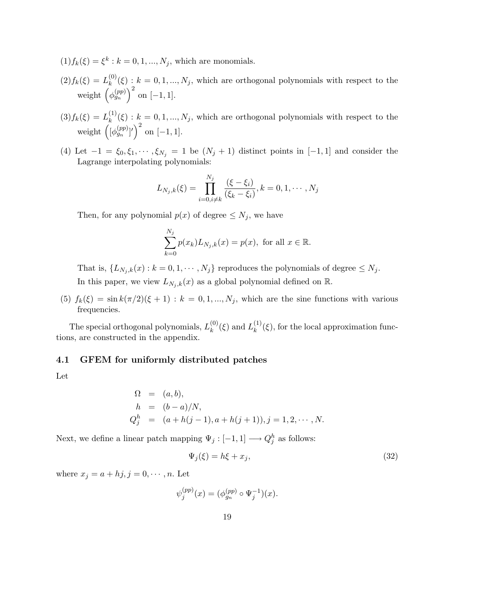- $(1) f_k(\xi) = \xi^k : k = 0, 1, ..., N_j$ , which are monomials.
- $(2) f_k(\xi) = L_k^{(0)}$  $k_k^{(0)}(\xi)$ :  $k = 0, 1, ..., N_j$ , which are orthogonal polynomials with respect to the weight  $(\phi_{g_n}^{(pp)})^2$  on [-1, 1].
- $(3) f_k(\xi) = L_k^{(1)}$  $k_k^{(1)}(\xi): k = 0, 1, ..., N_j$ , which are orthogonal polynomials with respect to the weight  $(\left[\phi_{g_n}^{(pp)}\right]')^2$  on  $[-1, 1]$ .
- (4) Let  $-1 = \xi_0, \xi_1, \dots, \xi_{N_j} = 1$  be  $(N_j + 1)$  distinct points in  $[-1, 1]$  and consider the Lagrange interpolating polynomials:

$$
L_{N_j,k}(\xi) = \prod_{i=0, i \neq k}^{N_j} \frac{(\xi - \xi_i)}{(\xi_k - \xi_i)}, k = 0, 1, \cdots, N_j
$$

Then, for any polynomial  $p(x)$  of degree  $\leq N_j$ , we have

$$
\sum_{k=0}^{N_j} p(x_k) L_{N_j,k}(x) = p(x), \text{ for all } x \in \mathbb{R}.
$$

That is,  $\{L_{N_j,k}(x): k=0,1,\cdots,N_j\}$  reproduces the polynomials of degree  $\leq N_j$ . In this paper, we view  $L_{N_i,k}(x)$  as a global polynomial defined on R.

(5)  $f_k(\xi) = \sin k(\pi/2)(\xi + 1) : k = 0, 1, ..., N_j$ , which are the sine functions with various frequencies.

The special orthogonal polynomials,  $L_k^{(0)}$  $\binom{0}{k} (\xi)$  and  $L_k^{(1)}$  $k^{(1)}(\xi)$ , for the local approximation functions, are constructed in the appendix.

## 4.1 GFEM for uniformly distributed patches

Let

$$
\Omega = (a, b), \nh = (b - a)/N, \nQ_j^h = (a + h(j - 1), a + h(j + 1)), j = 1, 2, \dots, N.
$$

Next, we define a linear patch mapping  $\Psi_j: [-1,1] \longrightarrow Q_j^h$  as follows:

$$
\Psi_j(\xi) = h\xi + x_j,\tag{32}
$$

where  $x_j = a + hj, j = 0, \dots, n$ . Let

$$
\psi_j^{(pp)}(x) = (\phi_{g_n}^{(pp)} \circ \Psi_j^{-1})(x).
$$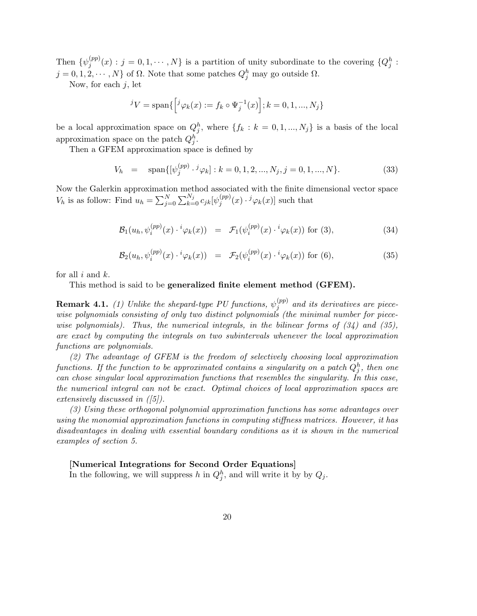Then  $\{\psi_j^{(pp)}\}$  $j^{(pp)}(x)$ :  $j = 0, 1, \dots, N$  is a partition of unity subordinate to the covering  $\{Q_j^h\}$ :  $j = 0, 1, 2, \dots, N$  of  $\Omega$ . Note that some patches  $Q_j^h$  may go outside  $\Omega$ .

Now, for each  $j$ , let

$$
{}^{j}V = \text{span}\{ \left[ {}^{j}\varphi_k(x) := f_k \circ \Psi_j^{-1}(x) \right]; k = 0, 1, ..., N_j \}
$$

be a local approximation space on  $Q_j^h$ , where  $\{f_k : k = 0, 1, ..., N_j\}$  is a basis of the local approximation space on the patch  $Q_j^h$ .

Then a GFEM approximation space is defined by

$$
V_h = \text{span}\{[\psi_j^{(pp)} \cdot {}^j \varphi_k] : k = 0, 1, 2, ..., N_j, j = 0, 1, ..., N\}.
$$
 (33)

Now the Galerkin approximation method associated with the finite dimensional vector space  $V_h$  is as follow: Find  $u_h = \sum_{j=0}^{N} \sum_{k=0}^{N_j} c_{jk} [\psi_j^{(pp)}]$  $j^{(pp)}(x) \cdot {}^{j}\varphi_k(x)$ ] such that

$$
\mathcal{B}_1(u_h, \psi_i^{(pp)}(x) \cdot {}^i\varphi_k(x)) = \mathcal{F}_1(\psi_i^{(pp)}(x) \cdot {}^i\varphi_k(x)) \text{ for (3)}, \tag{34}
$$

$$
\mathcal{B}_2(u_h, \psi_i^{(pp)}(x) \cdot {}^i\varphi_k(x)) = \mathcal{F}_2(\psi_i^{(pp)}(x) \cdot {}^i\varphi_k(x)) \text{ for (6)}, \tag{35}
$$

for all  $i$  and  $k$ .

This method is said to be generalized finite element method (GFEM).

**Remark 4.1.** (1) Unlike the shepard-type PU functions,  $\psi_j^{(pp)}$  $j^{(pp)}$  and its derivatives are piecewise polynomials consisting of only two distinct polynomials (the minimal number for piecewise polynomials). Thus, the numerical integrals, in the bilinear forms of  $(34)$  and  $(35)$ , are exact by computing the integrals on two subintervals whenever the local approximation functions are polynomials.

(2) The advantage of GFEM is the freedom of selectively choosing local approximation functions. If the function to be approximated contains a singularity on a patch  $Q_j^h$ , then one can chose singular local approximation functions that resembles the singularity. In this case, the numerical integral can not be exact. Optimal choices of local approximation spaces are extensively discussed in  $([5])$ .

(3) Using these orthogonal polynomial approximation functions has some advantages over using the monomial approximation functions in computing stiffness matrices. However, it has disadvantages in dealing with essential boundary conditions as it is shown in the numerical examples of section 5.

#### [Numerical Integrations for Second Order Equations]

In the following, we will suppress h in  $Q_j^h$ , and will write it by by  $Q_j$ .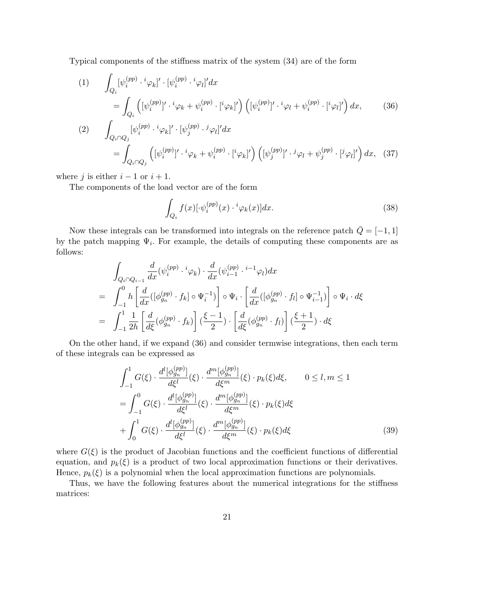Typical components of the stiffness matrix of the system (34) are of the form

(1) 
$$
\int_{Q_i} [\psi_i^{(pp)} \cdot {}^i \varphi_k]' \cdot [\psi_i^{(pp)} \cdot {}^i \varphi_l]' dx
$$
  
\n
$$
= \int_{Q_i} ([\psi_i^{(pp)}]' \cdot {}^i \varphi_k + \psi_i^{(pp)} \cdot [{}^i \varphi_k]') (\psi_i^{(pp)}]' \cdot {}^i \varphi_l + \psi_i^{(pp)} \cdot [{}^i \varphi_l]') dx, \qquad (36)
$$
  
\n(2) 
$$
\int [\psi_i^{(pp)} \cdot {}^i \varphi_k]' \cdot [\psi_i^{(pp)} \cdot {}^j \varphi_l]' dx
$$

2) 
$$
\int_{Q_i \cap Q_j} [\psi_i^{(pp)} \cdot {}^i \varphi_k]' \cdot [\psi_j^{(pp)} \cdot {}^j \varphi_l]' dx
$$
  
= 
$$
\int_{Q_i \cap Q_j} ([\psi_i^{(pp)}]' \cdot {}^i \varphi_k + \psi_i^{(pp)} \cdot [{}^i \varphi_k]') ([\psi_j^{(pp)}]' \cdot {}^j \varphi_l + \psi_j^{(pp)} \cdot [{}^j \varphi_l]') dx, (37)
$$

where j is either  $i - 1$  or  $i + 1$ .

The components of the load vector are of the form

$$
\int_{Q_i} f(x) [\cdot \psi_i^{(pp)}(x) \cdot {}^i \varphi_k(x)] dx.
$$
\n(38)

Now these integrals can be transformed into integrals on the reference patch  $\overline{Q} = [-1, 1]$ by the patch mapping  $\Psi_i$ . For example, the details of computing these components are as follows:

$$
\int_{Q_i \cap Q_{i-1}} \frac{d}{dx} (\psi_i^{(pp)} \cdot {}^i \varphi_k) \cdot \frac{d}{dx} (\psi_{i-1}^{(pp)} \cdot {}^{i-1} \varphi_l) dx
$$
\n
$$
= \int_{-1}^0 h \left[ \frac{d}{dx} ([\phi_{g_n}^{(pp)} \cdot f_k] \circ \Psi_i^{-1}) \right] \circ \Psi_i \cdot \left[ \frac{d}{dx} ([\phi_{g_n}^{(pp)} \cdot f_l] \circ \Psi_{i-1}^{-1}) \right] \circ \Psi_i \cdot d\xi
$$
\n
$$
= \int_{-1}^1 \frac{1}{2h} \left[ \frac{d}{d\xi} (\phi_{g_n}^{(pp)} \cdot f_k) \right] (\frac{\xi - 1}{2}) \cdot \left[ \frac{d}{d\xi} (\phi_{g_n}^{(pp)} \cdot f_l) \right] (\frac{\xi + 1}{2}) \cdot d\xi
$$

On the other hand, if we expand (36) and consider termwise integrations, then each term of these integrals can be expressed as

$$
\int_{-1}^{1} G(\xi) \cdot \frac{d^{l}[\phi_{g_{n}}^{(pp)}]}{d\xi^{l}}(\xi) \cdot \frac{d^{m}[\phi_{g_{n}}^{(pp)}]}{d\xi^{m}}(\xi) \cdot p_{k}(\xi) d\xi, \qquad 0 \le l, m \le 1
$$

$$
= \int_{-1}^{0} G(\xi) \cdot \frac{d^{l}[\phi_{g_{n}}^{(pp)}]}{d\xi^{l}}(\xi) \cdot \frac{d^{m}[\phi_{g_{n}}^{(pp)}]}{d\xi^{m}}(\xi) \cdot p_{k}(\xi) d\xi
$$

$$
+ \int_{0}^{1} G(\xi) \cdot \frac{d^{l}[\phi_{g_{n}}^{(pp)}]}{d\xi^{l}}(\xi) \cdot \frac{d^{m}[\phi_{g_{n}}^{(pp)}]}{d\xi^{m}}(\xi) \cdot p_{k}(\xi) d\xi
$$
(39)

where  $G(\xi)$  is the product of Jacobian functions and the coefficient functions of differential equation, and  $p_k(\xi)$  is a product of two local approximation functions or their derivatives. Hence,  $p_k(\xi)$  is a polynomial when the local approximation functions are polynomials.

Thus, we have the following features about the numerical integrations for the stiffness matrices: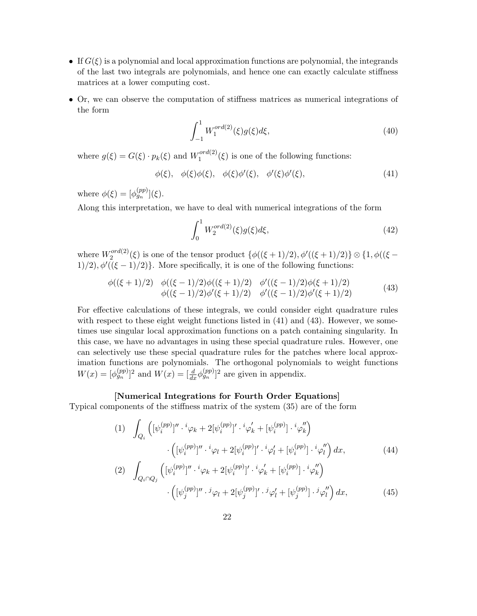- If  $G(\xi)$  is a polynomial and local approximation functions are polynomial, the integrands of the last two integrals are polynomials, and hence one can exactly calculate stiffness matrices at a lower computing cost.
- Or, we can observe the computation of stiffness matrices as numerical integrations of the form

$$
\int_{-1}^{1} W_1^{ord(2)}(\xi)g(\xi)d\xi,
$$
\n(40)

where  $g(\xi) = G(\xi) \cdot p_k(\xi)$  and  $W_1^{ord(2)}$  $1^{i(n(u(z))}(\xi)$  is one of the following functions:

$$
\phi(\xi), \quad \phi(\xi)\phi(\xi), \quad \phi(\xi)\phi'(\xi), \quad \phi'(\xi)\phi'(\xi), \tag{41}
$$

where  $\phi(\xi) = [\phi_{g_n}^{(pp)}](\xi)$ .

Along this interpretation, we have to deal with numerical integrations of the form

$$
\int_0^1 W_2^{ord(2)}(\xi)g(\xi)d\xi,
$$
\n(42)

where  $W_2^{ord(2)}$  $\mathcal{L}^{ord(2)}(\xi)$  is one of the tensor product  $\{\phi((\xi+1)/2), \phi'((\xi+1)/2)\} \otimes \{1, \phi((\xi-1)/2)\}$ 1)/2),  $\phi'((\xi - 1)/2)$ . More specifically, it is one of the following functions:

$$
\begin{array}{ll}\n\phi((\xi+1)/2) & \phi((\xi-1)/2)\phi((\xi+1)/2) & \phi'((\xi-1)/2)\phi(\xi+1)/2) \\
\phi((\xi-1)/2)\phi'(\xi+1)/2) & \phi'((\xi-1)/2)\phi'(\xi+1)/2)\n\end{array} \tag{43}
$$

For effective calculations of these integrals, we could consider eight quadrature rules with respect to these eight weight functions listed in  $(41)$  and  $(43)$ . However, we sometimes use singular local approximation functions on a patch containing singularity. In this case, we have no advantages in using these special quadrature rules. However, one can selectively use these special quadrature rules for the patches where local approximation functions are polynomials. The orthogonal polynomials to weight functions  $W(x) = [\phi_{g_n}^{(pp)}]^2$  and  $W(x) = [\frac{d}{dx} \phi_{g_n}^{(pp)}]^2$  are given in appendix.

## [Numerical Integrations for Fourth Order Equations]

Typical components of the stiffness matrix of the system (35) are of the form

(1) 
$$
\int_{Q_i} \left( [\psi_i^{(pp)}]'' \cdot {}^i \varphi_k + 2[\psi_i^{(pp)}]' \cdot {}^i \varphi_k' + [\psi_i^{(pp)}] \cdot {}^i \varphi_k'' \right) \cdot \left( [\psi_i^{(pp)}]'' \cdot {}^i \varphi_l + 2[\psi_i^{(pp)}]' \cdot {}^i \varphi_l' + [\psi_i^{(pp)}] \cdot {}^i \varphi_l'' \right) dx,
$$
\n(44)  
\n(2) 
$$
\int_{Q_i \cap Q_j} \left( [\psi_i^{(pp)}]'' \cdot {}^i \varphi_k + 2[\psi_i^{(pp)}]' \cdot {}^i \varphi_k' + [\psi_i^{(pp)}] \cdot {}^i \varphi_k'' \right) \cdot \left( [\psi_j^{(pp)}]'' \cdot {}^j \varphi_l + 2[\psi_j^{(pp)}]' \cdot {}^j \varphi_l' + [\psi_j^{(pp)}] \cdot {}^j \varphi_l'' \right) dx,
$$
\n(45)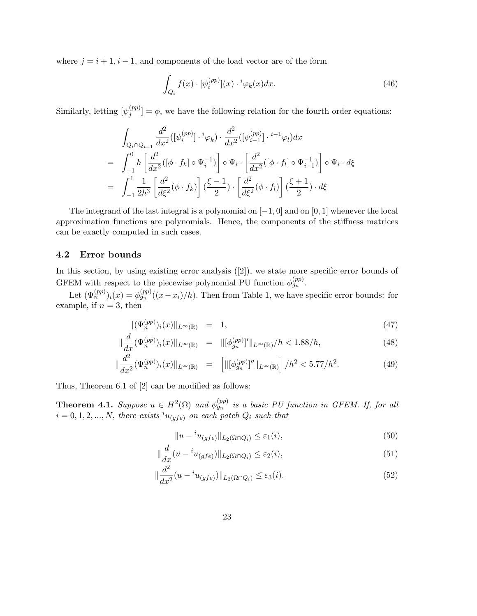where  $j = i + 1, i - 1$ , and components of the load vector are of the form

$$
\int_{Q_i} f(x) \cdot [\psi_i^{(pp)}](x) \cdot {}^i \varphi_k(x) dx.
$$
\n(46)

Similarly, letting  $[\psi_j^{(pp)}]$  $\left[\Psi_{j}^{(PP)}\right] = \phi$ , we have the following relation for the fourth order equations:

$$
\int_{Q_i \cap Q_{i-1}} \frac{d^2}{dx^2} ([\psi_i^{(pp)}] \cdot {}^i \varphi_k) \cdot \frac{d^2}{dx^2} ([\psi_{i-1}^{(pp)}] \cdot {}^{i-1} \varphi_l) dx
$$
\n
$$
= \int_{-1}^0 h \left[ \frac{d^2}{dx^2} ([\phi \cdot f_k] \circ \Psi_i^{-1}) \right] \circ \Psi_i \cdot \left[ \frac{d^2}{dx^2} ([\phi \cdot f_l] \circ \Psi_{i-1}^{-1}) \right] \circ \Psi_i \cdot d\xi
$$
\n
$$
= \int_{-1}^1 \frac{1}{2h^3} \left[ \frac{d^2}{d\xi^2} (\phi \cdot f_k) \right] (\frac{\xi - 1}{2}) \cdot \left[ \frac{d^2}{d\xi^2} (\phi \cdot f_l) \right] (\frac{\xi + 1}{2}) \cdot d\xi
$$

The integrand of the last integral is a polynomial on  $[-1, 0]$  and on  $[0, 1]$  whenever the local approximation functions are polynomials. Hence, the components of the stiffness matrices can be exactly computed in such cases.

## 4.2 Error bounds

In this section, by using existing error analysis  $([2])$ , we state more specific error bounds of GFEM with respect to the piecewise polynomial PU function  $\phi_{g_n}^{(pp)}$ .

Let  $(\Psi_n^{(pp)})_i(x) = \phi_{gn}^{(pp)}((x-x_i)/h)$ . Then from Table 1, we have specific error bounds: for example, if  $n = 3$ , then

$$
\|(\Psi_n^{(pp)})_i(x)\|_{L^\infty(\mathbb{R})} = 1, \tag{47}
$$

$$
\|\frac{d}{dx}(\Psi_n^{(pp)})_i(x)\|_{L^\infty(\mathbb{R})} \quad = \quad \||[\phi_{g_n}^{(pp)}]' \|_{L^\infty(\mathbb{R})}/h < 1.88/h,\tag{48}
$$

$$
\|\frac{d^2}{dx^2}(\Psi_n^{(pp)})_i(x)\|_{L^\infty(\mathbb{R})} \quad = \quad \left[ \| [\phi_{g_n}^{(pp)}]'' \|_{L^\infty(\mathbb{R})} \right] / h^2 < 5.77/h^2. \tag{49}
$$

Thus, Theorem 6.1 of [2] can be modified as follows:

**Theorem 4.1.** Suppose  $u \in H^2(\Omega)$  and  $\phi_{g_n}^{(pp)}$  is a basic PU function in GFEM. If, for all  $i = 0, 1, 2, ..., N$ , there exists  $i_{u(gfe)}$  on each patch  $Q_i$  such that

$$
||u - {}^{i}u_{(gfe)}||_{L_{2}(\Omega \cap Q_{i})} \leq \varepsilon_{1}(i), \qquad (50)
$$

$$
\|\frac{d}{dx}(u - {}^{i}u_{(gfe)})\|_{L_{2}(\Omega\cap Q_{i})} \leq \varepsilon_{2}(i),\tag{51}
$$

$$
\|\frac{d^2}{dx^2}(u - {}^i u_{(gfe)})\|_{L_2(\Omega \cap Q_i)} \le \varepsilon_3(i). \tag{52}
$$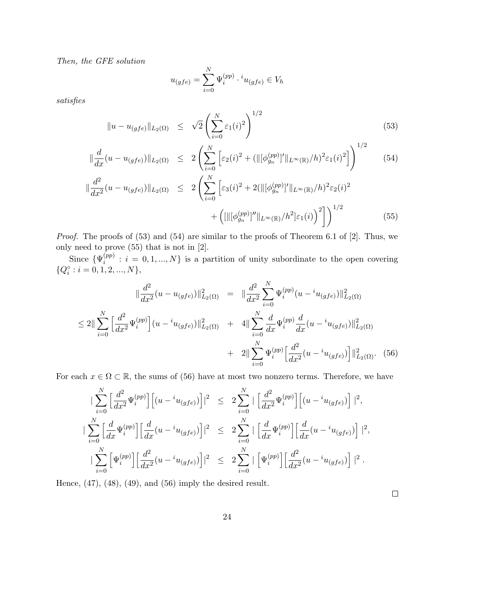Then, the GFE solution

$$
u_{(gfe)} = \sum_{i=0}^{N} \Psi_i^{(pp)} \cdot {}^{i}u_{(gfe)} \in V_h
$$

satisfies

 $\overline{\phantom{a}}$ 

$$
||u - u_{(gfe)}||_{L_2(\Omega)} \leq \sqrt{2} \left( \sum_{i=0}^N \varepsilon_1(i)^2 \right)^{1/2}
$$
\n
$$
\left( \sum_{i=0}^N \left[ \left( \sum_{i=0}^N \varepsilon_i(i)^2 \right)^{1/2} \right]^{1/2}
$$
\n(53)

$$
\|\frac{d}{dx}(u - u_{(gfe)})\|_{L_2(\Omega)} \le 2\left(\sum_{i=0}^N \left[\varepsilon_2(i)^2 + (\|[\phi_{g_n}^{(pp)}]'\|_{L^\infty(\mathbb{R})}/h)^2 \varepsilon_1(i)^2\right]\right)^{1/2} \tag{54}
$$

$$
\frac{d^2}{dx^2}(u - u_{(gfe)})\|_{L_2(\Omega)} \le 2\left(\sum_{i=0}^N \left[\varepsilon_3(i)^2 + 2(\|[\phi_{g_n}^{(pp)}]'\|_{L^\infty(\mathbb{R})}/h)^2 \varepsilon_2(i)^2 + \left(\|\[\phi_{g_n}^{(pp)}\]''\|_{L^\infty(\mathbb{R})}/h^2\right]\varepsilon_1(i)\right)^2\right)^{1/2}
$$
(55)

Proof. The proofs of (53) and (54) are similar to the proofs of Theorem 6.1 of [2]. Thus, we only need to prove (55) that is not in [2].

Since  $\{\Psi_i^{(pp)}\}$  $\{S_i^{(pp)}: i = 0, 1, ..., N\}$  is a partition of unity subordinate to the open covering  $\{Q_i^{\circ}: i = 0, 1, 2, ..., N\},\$ 

$$
\|\frac{d^2}{dx^2}(u - u_{(gfe)})\|_{L_2(\Omega)}^2 = \|\frac{d^2}{dx^2} \sum_{i=0}^N \Psi_i^{(pp)}(u - u_{(gfe)})\|_{L_2(\Omega)}^2
$$
  

$$
\leq 2\|\sum_{i=0}^N \left[\frac{d^2}{dx^2} \Psi_i^{(pp)}\right](u - u_{(gfe)})\|_{L_2(\Omega)}^2 + 4\|\sum_{i=0}^N \frac{d}{dx} \Psi_i^{(pp)}\frac{d}{dx}(u - u_{(gfe)})\|_{L_2(\Omega)}^2
$$
  

$$
+ 2\|\sum_{i=0}^N \Psi_i^{(pp)}\left[\frac{d^2}{dx^2}(u - u_{(gfe)})\right]\|_{L_2(\Omega)}^2. (56)
$$

For each  $x \in \Omega \subset \mathbb{R}$ , the sums of (56) have at most two nonzero terms. Therefore, we have

$$
\begin{split}\n&\sum_{i=0}^{N} \left[ \frac{d^2}{dx^2} \Psi_i^{(pp)} \right] \left[ (u - {}^{i}u_{(gf_e)}) \right] \Big|^2 \leq 2 \sum_{i=0}^{N} \left[ \frac{d^2}{dx^2} \Psi_i^{(pp)} \right] \left[ (u - {}^{i}u_{(gf_e)}) \right] \Big|^2, \\
&\sum_{i=0}^{N} \left[ \frac{d}{dx} \Psi_i^{(pp)} \right] \left[ \frac{d}{dx} (u - {}^{i}u_{(gf_e)}) \right] \Big|^2 \leq 2 \sum_{i=0}^{N} \left[ \frac{d}{dx} \Psi_i^{(pp)} \right] \left[ \frac{d}{dx} (u - {}^{i}u_{(gf_e)}) \right] \Big|^2, \\
&\sum_{i=0}^{N} \left[ \Psi_i^{(pp)} \right] \left[ \frac{d^2}{dx^2} (u - {}^{i}u_{(gf_e)}) \right] \Big|^2 \leq 2 \sum_{i=0}^{N} \left[ \Psi_i^{(pp)} \right] \left[ \frac{d^2}{dx^2} (u - {}^{i}u_{(gf_e)}) \right] \Big|^2.\n\end{split}
$$

Hence,  $(47)$ ,  $(48)$ ,  $(49)$ , and  $(56)$  imply the desired result.

 $\Box$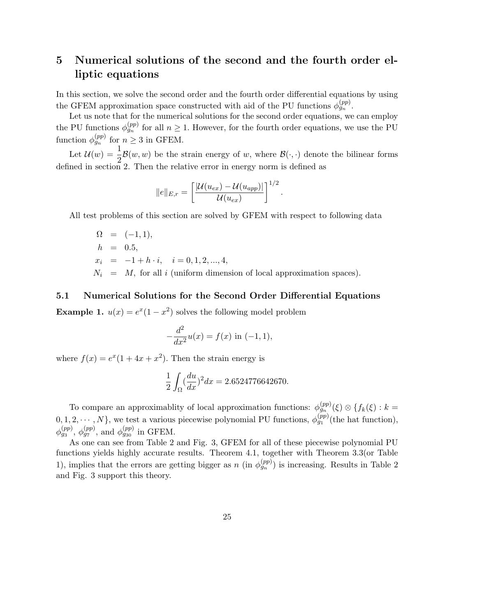# 5 Numerical solutions of the second and the fourth order elliptic equations

In this section, we solve the second order and the fourth order differential equations by using the GFEM approximation space constructed with aid of the PU functions  $\phi_{g_n}^{(pp)}$ .

Let us note that for the numerical solutions for the second order equations, we can employ the PU functions  $\phi_{g_n}^{(pp)}$  for all  $n \geq 1$ . However, for the fourth order equations, we use the PU function  $\phi_{g_n}^{(pp)}$  for  $n \geq 3$  in GFEM.

Let  $\mathcal{U}(w) = \frac{1}{2}$  $\frac{1}{2}$  $\mathcal{B}(w, w)$  be the strain energy of w, where  $\mathcal{B}(\cdot, \cdot)$  denote the bilinear forms defined in section 2. Then the relative error in energy norm is defined as

$$
||e||_{E,r} = \left[\frac{|\mathcal{U}(u_{ex}) - \mathcal{U}(u_{app})|}{\mathcal{U}(u_{ex})}\right]^{1/2}.
$$

All test problems of this section are solved by GFEM with respect to following data

 $\Omega = (-1, 1),$  $h = 0.5$ ,  $x_i = -1 + h \cdot i, \quad i = 0, 1, 2, ..., 4,$  $N_i = M$ , for all i (uniform dimension of local approximation spaces).

#### 5.1 Numerical Solutions for the Second Order Differential Equations

**Example 1.**  $u(x) = e^x(1 - x^2)$  solves the following model problem

$$
-\frac{d^2}{dx^2}u(x) = f(x) \text{ in } (-1,1),
$$

where  $f(x) = e^x(1 + 4x + x^2)$ . Then the strain energy is

$$
\frac{1}{2} \int_{\Omega} \left(\frac{du}{dx}\right)^2 dx = 2.6524776642670.
$$

To compare an approximablity of local approximation functions:  $\phi_{g_n}^{(pp)}(\xi) \otimes \{f_k(\xi) : k =$  $(0,1,2,\dots,N)$ , we test a various piecewise polynomial PU functions,  $\phi_{g_1}^{(pp)}$  (the hat function),  $\phi_{g_3}^{(pp)}, \, \phi_{g_7}^{(pp)}, \, \text{and} \, \, \phi_{g_{30}}^{(pp)} \, \, \text{in GFEM}.$ 

As one can see from Table 2 and Fig. 3, GFEM for all of these piecewise polynomial PU functions yields highly accurate results. Theorem 4.1, together with Theorem 3.3(or Table 1), implies that the errors are getting bigger as n (in  $\phi_{g_n}^{(pp)}$ ) is increasing. Results in Table 2 and Fig. 3 support this theory.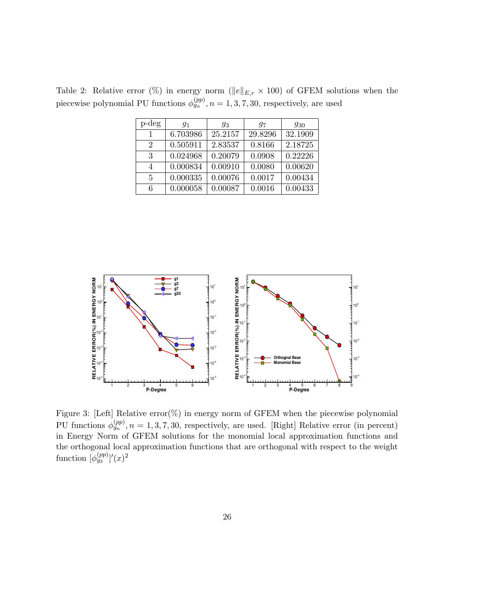| p-deg          | $g_1$    | 93      | 97      | 930     |
|----------------|----------|---------|---------|---------|
|                | 6.703986 | 25.2157 | 29.8296 | 32.1909 |
| $\overline{2}$ | 0.505911 | 2.83537 | 0.8166  | 2.18725 |
| 3              | 0.024968 | 0.20079 | 0.0908  | 0.22226 |
| 4              | 0.000834 | 0.00910 | 0.0080  | 0.00620 |
| 5              | 0.000335 | 0.00076 | 0.0017  | 0.00434 |
| 6              | 0.000058 | 0.00087 | 0.0016  | 0.00433 |

Table 2: Relative error (%) in energy norm ( $||e||_{E,r} \times 100$ ) of GFEM solutions when the piecewise polynomial PU functions  $\phi_{g_n}^{(pp)}$ ,  $n = 1, 3, 7, 30$ , respectively, are used



Figure 3: [Left] Relative error(%) in energy norm of GFEM when the piecewise polynomial PU functions  $\phi_{g_n}^{(pp)}, n = 1, 3, 7, 30$ , respectively, are used. [Right] Relative error (in percent) in Energy Norm of GFEM solutions for the monomial local approximation functions and the orthogonal local approximation functions that are orthogonal with respect to the weight function  $[\phi_{g_3}^{(pp)}]'(x)^2$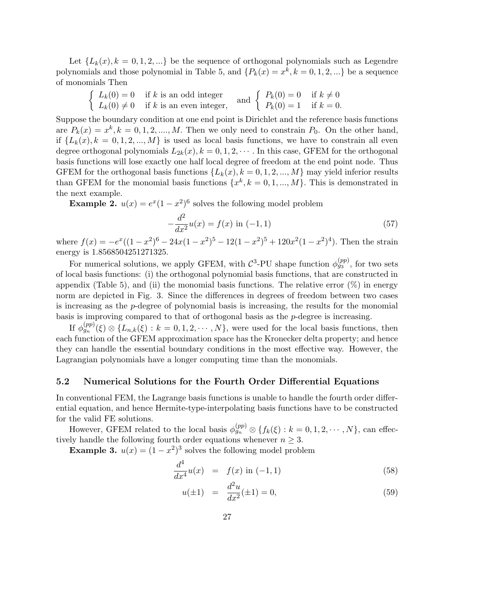Let  ${L_k(x), k = 0, 1, 2, ...}$  be the sequence of orthogonal polynomials such as Legendre polynomials and those polynomial in Table 5, and  $\{P_k(x) = x^k, k = 0, 1, 2, ...\}$  be a sequence of monomials Then

$$
\begin{cases}\nL_k(0) = 0 & \text{if } k \text{ is an odd integer} \\
L_k(0) \neq 0 & \text{if } k \text{ is an even integer,}\n\end{cases}\n\text{ and }\n\begin{cases}\nP_k(0) = 0 & \text{if } k \neq 0 \\
P_k(0) = 1 & \text{if } k = 0.\n\end{cases}
$$

Suppose the boundary condition at one end point is Dirichlet and the reference basis functions are  $P_k(x) = x^k, k = 0, 1, 2, \dots, M$ . Then we only need to constrain  $P_0$ . On the other hand, if  $\{L_k(x), k = 0, 1, 2, ..., M\}$  is used as local basis functions, we have to constrain all even degree orthogonal polynomials  $L_{2k}(x), k = 0, 1, 2, \cdots$ . In this case, GFEM for the orthogonal basis functions will lose exactly one half local degree of freedom at the end point node. Thus GFEM for the orthogonal basis functions  $\{L_k(x), k = 0, 1, 2, ..., M\}$  may yield inferior results than GFEM for the monomial basis functions  $\{x^k, k = 0, 1, ..., M\}$ . This is demonstrated in the next example.

**Example 2.**  $u(x) = e^x(1 - x^2)^6$  solves the following model problem

$$
-\frac{d^2}{dx^2}u(x) = f(x) \text{ in } (-1,1)
$$
\n(57)

where  $f(x) = -e^x((1-x^2)^6 - 24x(1-x^2)^5 - 12(1-x^2)^5 + 120x^2(1-x^2)^4)$ . Then the strain energy is 1.8568504251271325.

For numerical solutions, we apply GFEM, with  $\mathcal{C}^3$ -PU shape function  $\phi_{g_3}^{(pp)}$ , for two sets of local basis functions: (i) the orthogonal polynomial basis functions, that are constructed in appendix (Table 5), and (ii) the monomial basis functions. The relative error  $(\%)$  in energy norm are depicted in Fig. 3. Since the differences in degrees of freedom between two cases is increasing as the  $p$ -degree of polynomial basis is increasing, the results for the monomial basis is improving compared to that of orthogonal basis as the p-degree is increasing.

If  $\phi_{g_n}^{(pp)}(\xi) \otimes \{L_{n,k}(\xi) : k = 0, 1, 2, \cdots, N\}$ , were used for the local basis functions, then each function of the GFEM approximation space has the Kronecker delta property; and hence they can handle the essential boundary conditions in the most effective way. However, the Lagrangian polynomials have a longer computing time than the monomials.

## 5.2 Numerical Solutions for the Fourth Order Differential Equations

In conventional FEM, the Lagrange basis functions is unable to handle the fourth order differential equation, and hence Hermite-type-interpolating basis functions have to be constructed for the valid FE solutions.

However, GFEM related to the local basis  $\phi_{g_n}^{(pp)} \otimes \{f_k(\xi) : k = 0, 1, 2, \cdots, N\}$ , can effectively handle the following fourth order equations whenever  $n \geq 3$ .

**Example 3.**  $u(x) = (1 - x^2)^3$  solves the following model problem

$$
\frac{d^4}{dx^4}u(x) = f(x) \text{ in } (-1,1) \tag{58}
$$

$$
u(\pm 1) = \frac{d^2 u}{dx^2}(\pm 1) = 0,
$$
\n(59)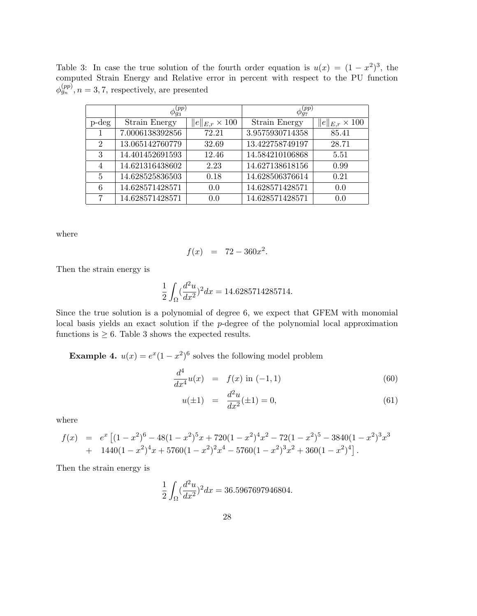Table 3: In case the true solution of the fourth order equation is  $u(x) = (1 - x^2)^3$ , the computed Strain Energy and Relative error in percent with respect to the PU function  $\phi_{g_n}^{(pp)}, n = 3, 7$ , respectively, are presented

|                | $\phi_{g_3}^{(pp)}$ |                         | $\phi_{g_7}^{(pp)}$ |                         |
|----------------|---------------------|-------------------------|---------------------|-------------------------|
| $p$ -deg       | Strain Energy       | $  e  _{E,r}\times 100$ | Strain Energy       | $  e  _{E,r}\times 100$ |
|                | 7.0006138392856     | 72.21                   | 3.9575930714358     | 85.41                   |
| $\overline{2}$ | 13.065142760779     | 32.69                   | 13.422758749197     | 28.71                   |
| 3              | 14.401452691593     | 12.46                   | 14.584210106868     | 5.51                    |
| $\overline{4}$ | 14.621316438602     | 2.23                    | 14.627138618156     | 0.99                    |
| 5              | 14.628525836503     | 0.18                    | 14.628506376614     | 0.21                    |
| 6              | 14.628571428571     | 0.0                     | 14.628571428571     | 0.0                     |
| 7              | 14.628571428571     | 0.0                     | 14.628571428571     | 0.0                     |

where

$$
f(x) = 72 - 360x^2.
$$

Then the strain energy is

$$
\frac{1}{2} \int_{\Omega} \left(\frac{d^2 u}{dx^2}\right)^2 dx = 14.6285714285714.
$$

Since the true solution is a polynomial of degree 6, we expect that GFEM with monomial local basis yields an exact solution if the p-degree of the polynomial local approximation functions is  $\geq 6$ . Table 3 shows the expected results.

**Example 4.**  $u(x) = e^x(1 - x^2)^6$  solves the following model problem

$$
\frac{d^4}{dx^4}u(x) = f(x) \text{ in } (-1,1)
$$
\n(60)

$$
u(\pm 1) = \frac{d^2u}{dx^2}(\pm 1) = 0,
$$
\n(61)

where

$$
f(x) = e^x \left[ (1-x^2)^6 - 48(1-x^2)^5 x + 720(1-x^2)^4 x^2 - 72(1-x^2)^5 - 3840(1-x^2)^3 x^3 + 1440(1-x^2)^4 x + 5760(1-x^2)^2 x^4 - 5760(1-x^2)^3 x^2 + 360(1-x^2)^4 \right].
$$

Then the strain energy is

$$
\frac{1}{2} \int_{\Omega} (\frac{d^2 u}{dx^2})^2 dx = 36.5967697946804.
$$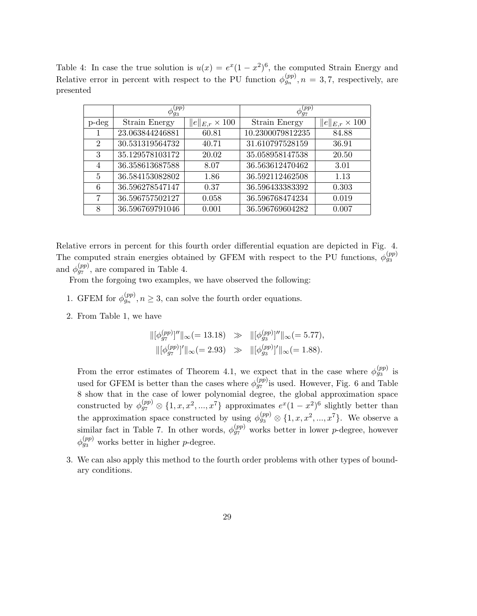Table 4: In case the true solution is  $u(x) = e^x(1-x^2)^6$ , the computed Strain Energy and Relative error in percent with respect to the PU function  $\phi_{g_n}^{(pp)}, n = 3, 7$ , respectively, are presented

|                | $\phi_{g_3}^{(pp)}$ |                         | $\phi_{g_7}^{(pp)}$ |                         |
|----------------|---------------------|-------------------------|---------------------|-------------------------|
| $p-\deg$       | Strain Energy       | $  e  _{E,r}\times 100$ | Strain Energy       | $  e  _{E,r}\times 100$ |
|                | 23.063844246881     | 60.81                   | 10.2300079812235    | 84.88                   |
| $\overline{2}$ | 30.531319564732     | 40.71                   | 31.610797528159     | 36.91                   |
| 3              | 35.129578103172     | 20.02                   | 35.058958147538     | 20.50                   |
| 4              | 36.358613687588     | 8.07                    | 36.563612470462     | 3.01                    |
| 5              | 36.584153082802     | 1.86                    | 36.592112462508     | 1.13                    |
| 6              | 36.596278547147     | 0.37                    | 36.596433383392     | 0.303                   |
|                | 36.596757502127     | 0.058                   | 36.596768474234     | 0.019                   |
| 8              | 36.596769791046     | 0.001                   | 36.596769604282     | 0.007                   |

Relative errors in percent for this fourth order differential equation are depicted in Fig. 4. The computed strain energies obtained by GFEM with respect to the PU functions,  $\phi_{g_3}^{(pp)}$ and  $\phi_{g7}^{(pp)}$ , are compared in Table 4.

From the forgoing two examples, we have observed the following:

- 1. GFEM for  $\phi_{g_n}^{(pp)}, n \geq 3$ , can solve the fourth order equations.
- 2. From Table 1, we have

$$
\begin{aligned}\n\|[\phi_{g7}^{(pp)}]''\|_{\infty} &= 13.18) \quad \gg \quad \|( \phi_{g3}^{(pp)}]''\|_{\infty} &= 5.77), \\
\|[\phi_{g7}^{(pp)}]'\|_{\infty} &= 2.93) \quad \gg \quad \|( \phi_{g3}^{(pp)}]'\|_{\infty} &= 1.88).\n\end{aligned}
$$

From the error estimates of Theorem 4.1, we expect that in the case where  $\phi_{g_3}^{(pp)}$  is used for GFEM is better than the cases where  $\phi_{g7}^{(pp)}$  is used. However, Fig. 6 and Table 8 show that in the case of lower polynomial degree, the global approximation space constructed by  $\phi_{g7}^{(pp)} \otimes \{1, x, x^2, ..., x^7\}$  approximates  $e^x(1-x^2)^6$  slightly better than the approximation space constructed by using  $\phi_{g_3}^{(pp)} \otimes \{1, x, x^2, ..., x^7\}$ . We observe a similar fact in Table 7. In other words,  $\phi_{g7}^{(pp)}$  works better in lower p-degree, however  $\phi_{g_3}^{(pp)}$  works better in higher p-degree.

3. We can also apply this method to the fourth order problems with other types of boundary conditions.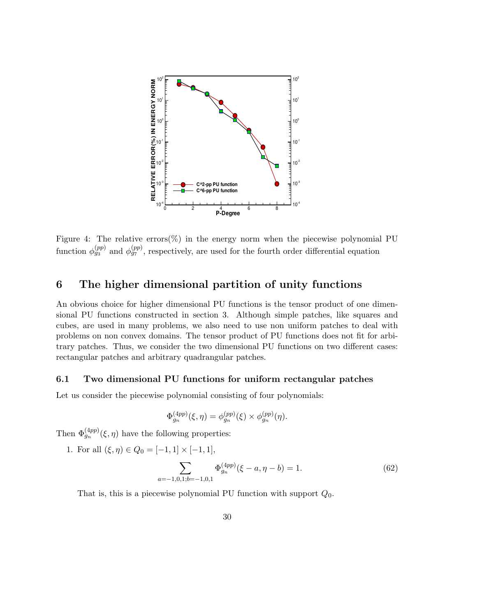

Figure 4: The relative errors( $\%$ ) in the energy norm when the piecewise polynomial PU function  $\phi_{g_3}^{(pp)}$  and  $\phi_{g_7}^{(pp)}$ , respectively, are used for the fourth order differential equation

## 6 The higher dimensional partition of unity functions

An obvious choice for higher dimensional PU functions is the tensor product of one dimensional PU functions constructed in section 3. Although simple patches, like squares and cubes, are used in many problems, we also need to use non uniform patches to deal with problems on non convex domains. The tensor product of PU functions does not fit for arbitrary patches. Thus, we consider the two dimensional PU functions on two different cases: rectangular patches and arbitrary quadrangular patches.

#### 6.1 Two dimensional PU functions for uniform rectangular patches

Let us consider the piecewise polynomial consisting of four polynomials:

$$
\Phi_{g_n}^{(4pp)}(\xi, \eta) = \phi_{g_n}^{(pp)}(\xi) \times \phi_{g_n}^{(pp)}(\eta).
$$

Then  $\Phi_{g_n}^{(4pp)}(\xi,\eta)$  have the following properties:

1. For all  $(\xi, \eta) \in Q_0 = [-1, 1] \times [-1, 1],$ 

$$
\sum_{a=-1,0,1;b=-1,0,1} \Phi_{g_n}^{(4pp)}(\xi-a,\eta-b) = 1.
$$
 (62)

That is, this is a piecewise polynomial PU function with support  $Q_0$ .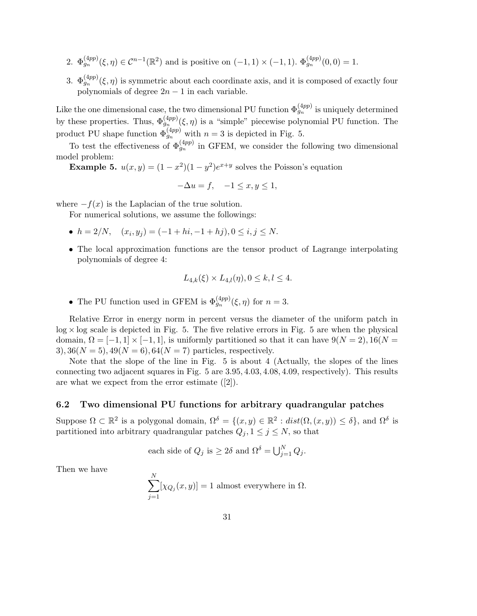- 2.  $\Phi_{g_n}^{(4pp)}(\xi, \eta) \in C^{n-1}(\mathbb{R}^2)$  and is positive on  $(-1, 1) \times (-1, 1)$ .  $\Phi_{g_n}^{(4pp)}(0, 0) = 1$ .
- 3.  $\Phi_{g_n}^{(4pp)}(\xi, \eta)$  is symmetric about each coordinate axis, and it is composed of exactly four polynomials of degree  $2n - 1$  in each variable.

Like the one dimensional case, the two dimensional PU function  $\Phi_{g_n}^{(4pp)}$  is uniquely determined by these properties. Thus,  $\Phi_{g_n}^{(4pp)}(\xi, \eta)$  is a "simple" piecewise polynomial PU function. The product PU shape function  $\Phi_{g_n}^{(4pp)}$  with  $n=3$  is depicted in Fig. 5.

To test the effectiveness of  $\Phi_{g_n}^{(4pp)}$  in GFEM, we consider the following two dimensional model problem:

**Example 5.**  $u(x, y) = (1 - x^2)(1 - y^2)e^{x+y}$  solves the Poisson's equation

$$
-\Delta u = f, \quad -1 \le x, y \le 1,
$$

where  $-f(x)$  is the Laplacian of the true solution.

For numerical solutions, we assume the followings:

- $h = 2/N$ ,  $(x_i, y_j) = (-1 + hi, -1 + hj), 0 \le i, j \le N$ .
- The local approximation functions are the tensor product of Lagrange interpolating polynomials of degree 4:

$$
L_{4,k}(\xi) \times L_{4,l}(\eta), 0 \le k, l \le 4.
$$

• The PU function used in GFEM is  $\Phi_{g_n}^{(4pp)}(\xi, \eta)$  for  $n=3$ .

Relative Error in energy norm in percent versus the diameter of the uniform patch in  $log \times log$  scale is depicted in Fig. 5. The five relative errors in Fig. 5 are when the physical domain,  $\Omega = [-1, 1] \times [-1, 1]$ , is uniformly partitioned so that it can have  $9(N = 2)$ ,  $16(N = 1)$ 3),  $36(N = 5)$ ,  $49(N = 6)$ ,  $64(N = 7)$  particles, respectively.

Note that the slope of the line in Fig. 5 is about 4 (Actually, the slopes of the lines connecting two adjacent squares in Fig. 5 are 3.95, 4.03, 4.08, 4.09, respectively). This results are what we expect from the error estimate ([2]).

#### 6.2 Two dimensional PU functions for arbitrary quadrangular patches

Suppose  $\Omega \subset \mathbb{R}^2$  is a polygonal domain,  $\Omega^{\delta} = \{(x, y) \in \mathbb{R}^2 : dist(\Omega, (x, y)) \leq \delta\}$ , and  $\Omega^{\delta}$  is partitioned into arbitrary quadrangular patches  $Q_j$ ,  $1 \leq j \leq N$ , so that

each side of 
$$
Q_j
$$
 is  $\geq 2\delta$  and  $\Omega^{\delta} = \bigcup_{j=1}^{N} Q_j$ .

Then we have

$$
\sum_{j=1}^{N} [\chi_{Q_j}(x, y)] = 1
$$
 almost everywhere in  $\Omega$ .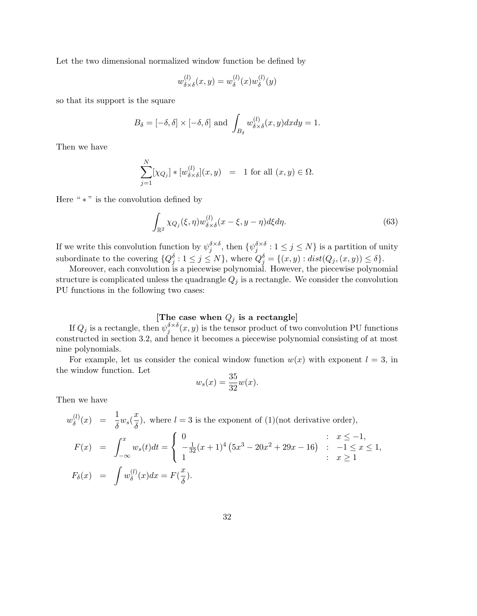Let the two dimensional normalized window function be defined by

$$
w_{\delta \times \delta}^{(l)}(x, y) = w_{\delta}^{(l)}(x)w_{\delta}^{(l)}(y)
$$

so that its support is the square

$$
B_{\delta} = [-\delta, \delta] \times [-\delta, \delta]
$$
 and  $\int_{B_{\delta}} w_{\delta \times \delta}^{(l)}(x, y) dx dy = 1.$ 

Then we have

$$
\sum_{j=1}^{N} [\chi_{Q_j}] * [w_{\delta \times \delta}^{(l)}](x, y) = 1 \text{ for all } (x, y) \in \Omega.
$$

Here " $*$ " is the convolution defined by

$$
\int_{\mathbb{R}^2} \chi_{Q_j}(\xi, \eta) w_{\delta \times \delta}^{(l)}(x - \xi, y - \eta) d\xi d\eta.
$$
 (63)

If we write this convolution function by  $\psi_j^{\delta \times \delta}$ , then  $\{\psi_j^{\delta \times \delta} : 1 \le j \le N\}$  is a partition of unity subordinate to the covering  $\{Q_j^{\delta}: 1 \leq j \leq N\}$ , where  $Q_j^{\delta} = \{(x, y) : dist(Q_j, (x, y)) \leq \delta\}$ .

Moreover, each convolution is a piecewise polynomial. However, the piecewise polynomial structure is complicated unless the quadrangle  $Q_j$  is a rectangle. We consider the convolution PU functions in the following two cases:

## [The case when  $Q_j$  is a rectangle]

If  $Q_j$  is a rectangle, then  $\psi_j^{\delta \times \delta}(x,y)$  is the tensor product of two convolution PU functions constructed in section 3.2, and hence it becomes a piecewise polynomial consisting of at most nine polynomials.

For example, let us consider the conical window function  $w(x)$  with exponent  $l = 3$ , in the window function. Let

$$
w_s(x) = \frac{35}{32}w(x).
$$

Then we have

$$
w_{\delta}^{(l)}(x) = \frac{1}{\delta} w_s(\frac{x}{\delta}), \text{ where } l = 3 \text{ is the exponent of } (1) \text{(not derivative order)},
$$
  
\n
$$
F(x) = \int_{-\infty}^{x} w_s(t)dt = \begin{cases} 0 & \text{if } x \le -1, \\ -\frac{1}{32}(x+1)^4 (5x^3 - 20x^2 + 29x - 16) & \text{if } x \le -1, \\ 1 & \text{if } x \ge 1 \end{cases}
$$
  
\n
$$
F_{\delta}(x) = \int w_{\delta}^{(l)}(x)dx = F(\frac{x}{\delta}).
$$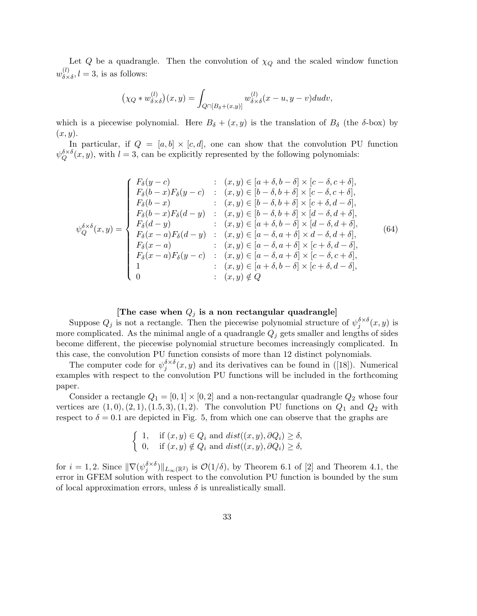Let Q be a quadrangle. Then the convolution of  $\chi_Q$  and the scaled window function  $w_{\delta \times}^{(l)}$  $\delta \times \delta, l = 3$ , is as follows:

$$
\left(\chi_Q * w_{\delta \times \delta}^{(l)}\right)(x, y) = \int_{Q \cap [B_{\delta} + (x, y)]} w_{\delta \times \delta}^{(l)}(x - u, y - v) du dv,
$$

which is a piecewise polynomial. Here  $B_{\delta} + (x, y)$  is the translation of  $B_{\delta}$  (the  $\delta$ -box) by  $(x, y)$ .

In particular, if  $Q = [a, b] \times [c, d]$ , one can show that the convolution PU function  $\psi_O^{\delta\times\delta}$  $Q^{\delta \times \delta}(x, y)$ , with  $l = 3$ , can be explicitly represented by the following polynomials:

$$
\psi_{Q}^{\delta \times \delta}(x,y) = \begin{cases}\nF_{\delta}(y-c) & : (x,y) \in [a+\delta, b-\delta] \times [c-\delta, c+\delta], \\
F_{\delta}(b-x)F_{\delta}(y-c) & : (x,y) \in [b-\delta, b+\delta] \times [c-\delta, c+\delta], \\
F_{\delta}(b-x) & : (x,y) \in [b-\delta, b+\delta] \times [c+\delta, d-\delta], \\
F_{\delta}(b-x)F_{\delta}(d-y) & : (x,y) \in [b-\delta, b+\delta] \times [d-\delta, d+\delta], \\
F_{\delta}(d-y) & : (x,y) \in [a+\delta, b-\delta] \times [d-\delta, d+\delta], \\
F_{\delta}(x-a)F_{\delta}(d-y) & : (x,y) \in [a-\delta, a+\delta] \times d-\delta, d+\delta], \\
F_{\delta}(x-a) & : (x,y) \in [a-\delta, a+\delta] \times [c+\delta, d-\delta], \\
F_{\delta}(x-a)F_{\delta}(y-c) & : (x,y) \in [a-\delta, a+\delta] \times [c-\delta, c+\delta], \\
1 & : (x,y) \in [a+\delta, b-\delta] \times [c+\delta, d-\delta], \\
0 & : (x,y) \notin Q\n\end{cases}
$$
\n(64)

#### [The case when  $Q_i$  is a non rectangular quadrangle]

Suppose  $Q_j$  is not a rectangle. Then the piecewise polynomial structure of  $\psi_j^{\delta \times \delta}(x, y)$  is more complicated. As the minimal angle of a quadrangle  $Q_i$  gets smaller and lengths of sides become different, the piecewise polynomial structure becomes increasingly complicated. In this case, the convolution PU function consists of more than 12 distinct polynomials.

The computer code for  $\psi_j^{\delta \times \delta}(x, y)$  and its derivatives can be found in ([18]). Numerical examples with respect to the convolution PU functions will be included in the forthcoming paper.

Consider a rectangle  $Q_1 = [0, 1] \times [0, 2]$  and a non-rectangular quadrangle  $Q_2$  whose four vertices are  $(1, 0), (2, 1), (1.5, 3), (1, 2)$ . The convolution PU functions on  $Q_1$  and  $Q_2$  with respect to  $\delta = 0.1$  are depicted in Fig. 5, from which one can observe that the graphs are

$$
\begin{cases} 1, & \text{if } (x, y) \in Q_i \text{ and } dist((x, y), \partial Q_i) \ge \delta, \\ 0, & \text{if } (x, y) \notin Q_i \text{ and } dist((x, y), \partial Q_i) \ge \delta, \end{cases}
$$

for  $i = 1, 2$ . Since  $\|\nabla(\psi_j^{\delta \times \delta})\|_{L_\infty(\mathbb{R}^2)}$  is  $\mathcal{O}(1/\delta)$ , by Theorem 6.1 of [2] and Theorem 4.1, the error in GFEM solution with respect to the convolution PU function is bounded by the sum of local approximation errors, unless  $\delta$  is unrealistically small.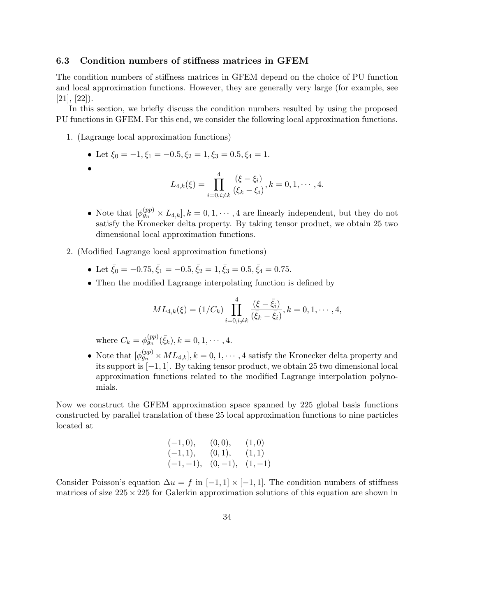#### 6.3 Condition numbers of stiffness matrices in GFEM

The condition numbers of stiffness matrices in GFEM depend on the choice of PU function and local approximation functions. However, they are generally very large (for example, see  $[21], [22]$ .

In this section, we briefly discuss the condition numbers resulted by using the proposed PU functions in GFEM. For this end, we consider the following local approximation functions.

1. (Lagrange local approximation functions)

•

• Let  $\xi_0 = -1, \xi_1 = -0.5, \xi_2 = 1, \xi_3 = 0.5, \xi_4 = 1.$ 

$$
L_{4,k}(\xi) = \prod_{i=0, i \neq k}^{4} \frac{(\xi - \xi_i)}{(\xi_k - \xi_i)}, k = 0, 1, \cdots, 4.
$$

- Note that  $[\phi_{g_n}^{(pp)} \times L_{4,k}], k = 0, 1, \dots, 4$  are linearly independent, but they do not satisfy the Kronecker delta property. By taking tensor product, we obtain 25 two dimensional local approximation functions.
- 2. (Modified Lagrange local approximation functions)
	- Let  $\bar{\xi}_0 = -0.75, \bar{\xi}_1 = -0.5, \bar{\xi}_2 = 1, \bar{\xi}_3 = 0.5, \bar{\xi}_4 = 0.75.$
	- Then the modified Lagrange interpolating function is defined by

$$
ML_{4,k}(\xi) = (1/C_k) \prod_{i=0, i \neq k}^{4} \frac{(\xi - \bar{\xi}_i)}{(\bar{\xi}_k - \bar{\xi}_i)}, k = 0, 1, \cdots, 4,
$$

where  $C_k = \phi_{g_n}^{(pp)}(\bar{\xi}_k), k = 0, 1, \cdots, 4$ .

• Note that  $[\phi_{g_n}^{(pp)} \times ML_{4,k}], k = 0, 1, \cdots, 4$  satisfy the Kronecker delta property and its support is [−1, 1]. By taking tensor product, we obtain 25 two dimensional local approximation functions related to the modified Lagrange interpolation polynomials.

Now we construct the GFEM approximation space spanned by 225 global basis functions constructed by parallel translation of these 25 local approximation functions to nine particles located at

$$
\begin{array}{cccc}(-1,0), & (0,0), & (1,0)\\(-1,1), & (0,1), & (1,1)\\(-1,-1), & (0,-1), & (1,-1)\end{array}
$$

Consider Poisson's equation  $\Delta u = f$  in  $[-1, 1] \times [-1, 1]$ . The condition numbers of stiffness matrices of size  $225 \times 225$  for Galerkin approximation solutions of this equation are shown in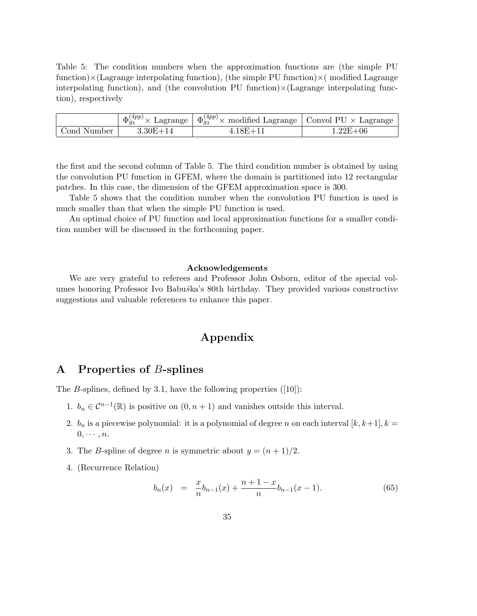Table 5: The condition numbers when the approximation functions are (the simple PU function) $\times$ (Lagrange interpolating function), (the simple PU function) $\times$ ( modified Lagrange interpolating function), and (the convolution PU function) $\times$ (Lagrange interpolating function), respectively

|             |              | $\frac{1}{2}$ $\Phi_{q_3}^{(4pp)} \times$ Lagrange $\frac{1}{2}$ $\Phi_{q_3}^{(4pp)} \times$ modified Lagrange $\frac{1}{2}$ Convol PU $\times$ Lagrange |              |
|-------------|--------------|----------------------------------------------------------------------------------------------------------------------------------------------------------|--------------|
| Cond Number | $3.30E + 14$ | $4.18E + 11$                                                                                                                                             | $1.22E + 06$ |

the first and the second column of Table 5. The third condition number is obtained by using the convolution PU function in GFEM, where the domain is partitioned into 12 rectangular patches. In this case, the dimension of the GFEM approximation space is 300.

Table 5 shows that the condition number when the convolution PU function is used is much smaller than that when the simple PU function is used.

An optimal choice of PU function and local approximation functions for a smaller condition number will be discussed in the forthcoming paper.

#### Acknowledgements

We are very grateful to referees and Professor John Osborn, editor of the special volumes honoring Professor Ivo Babuška's 80th birthday. They provided various constructive suggestions and valuable references to enhance this paper.

# Appendix

# A Properties of B-splines

The B-splines, defined by 3.1, have the following properties  $([10])$ :

- 1.  $b_n \in C^{n-1}(\mathbb{R})$  is positive on  $(0, n+1)$  and vanishes outside this interval.
- 2.  $b_n$  is a piecewise polynomial: it is a polynomial of degree n on each interval  $[k, k+1], k =$  $0, \cdots, n$ .
- 3. The B-spline of degree *n* is symmetric about  $y = (n+1)/2$ .
- 4. (Recurrence Relation)

$$
b_n(x) = \frac{x}{n}b_{n-1}(x) + \frac{n+1-x}{n}b_{n-1}(x-1). \tag{65}
$$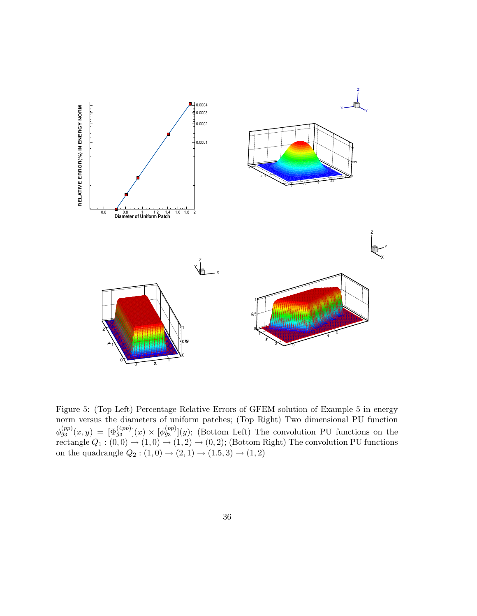

Figure 5: (Top Left) Percentage Relative Errors of GFEM solution of Example 5 in energy norm versus the diameters of uniform patches; (Top Right) Two dimensional PU function  $\phi_{g_3}^{(pp)}(x,y) = [\Phi_{g_3}^{(4pp)}](x) \times [\phi_{g_3}^{(pp)}](y)$ ; (Bottom Left) The convolution PU functions on the rectangle  $Q_1$  :  $(0,0) \rightarrow (1,0) \rightarrow (1,2) \rightarrow (0,2)$ ; (Bottom Right) The convolution PU functions on the quadrangle  $Q_2$ :  $(1,0) \rightarrow (2,1) \rightarrow (1.5,3) \rightarrow (1,2)$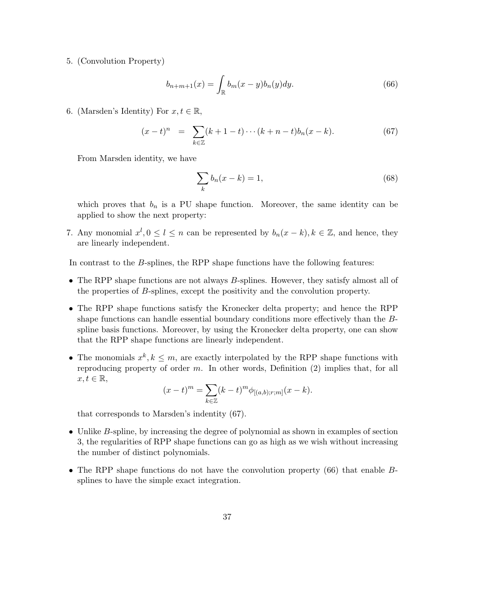5. (Convolution Property)

$$
b_{n+m+1}(x) = \int_{\mathbb{R}} b_m(x-y)b_n(y)dy.
$$
 (66)

6. (Marsden's Identity) For  $x, t \in \mathbb{R}$ ,

$$
(x-t)^n = \sum_{k \in \mathbb{Z}} (k+1-t) \cdots (k+n-t) b_n (x-k).
$$
 (67)

From Marsden identity, we have

$$
\sum_{k} b_n(x-k) = 1,\tag{68}
$$

which proves that  $b_n$  is a PU shape function. Moreover, the same identity can be applied to show the next property:

7. Any monomial  $x^l, 0 \le l \le n$  can be represented by  $b_n(x - k), k \in \mathbb{Z}$ , and hence, they are linearly independent.

In contrast to the B-splines, the RPP shape functions have the following features:

- The RPP shape functions are not always B-splines. However, they satisfy almost all of the properties of B-splines, except the positivity and the convolution property.
- The RPP shape functions satisfy the Kronecker delta property; and hence the RPP shape functions can handle essential boundary conditions more effectively than the Bspline basis functions. Moreover, by using the Kronecker delta property, one can show that the RPP shape functions are linearly independent.
- The monomials  $x^k, k \leq m$ , are exactly interpolated by the RPP shape functions with reproducing property of order  $m$ . In other words, Definition  $(2)$  implies that, for all  $x,t \in \mathbb{R},$

$$
(x-t)^m = \sum_{k \in \mathbb{Z}} (k-t)^m \phi_{[(a,b);r;m]}(x-k).
$$

that corresponds to Marsden's indentity (67).

- Unlike B-spline, by increasing the degree of polynomial as shown in examples of section 3, the regularities of RPP shape functions can go as high as we wish without increasing the number of distinct polynomials.
- The RPP shape functions do not have the convolution property (66) that enable Bsplines to have the simple exact integration.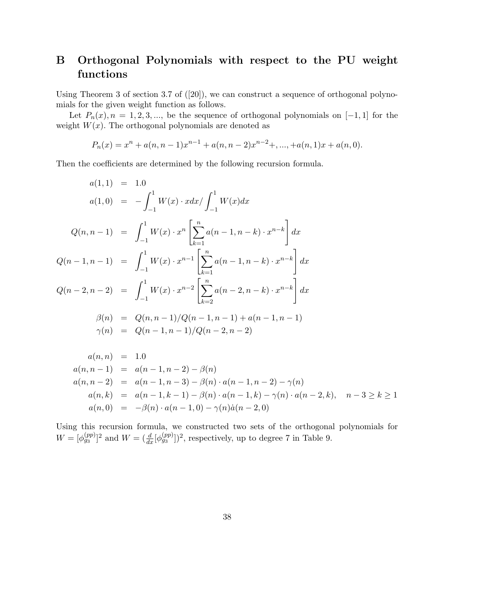# B Orthogonal Polynomials with respect to the PU weight functions

Using Theorem 3 of section 3.7 of ([20]), we can construct a sequence of orthogonal polynomials for the given weight function as follows.

Let  $P_n(x)$ ,  $n = 1, 2, 3, \dots$ , be the sequence of orthogonal polynomials on [−1, 1] for the weight  $W(x)$ . The orthogonal polynomials are denoted as

$$
P_n(x) = x^n + a(n, n-1)x^{n-1} + a(n, n-2)x^{n-2} + \dots + a(n, 1)x + a(n, 0).
$$

Then the coefficients are determined by the following recursion formula.

$$
a(1,1) = 1.0
$$
  
\n
$$
a(1,0) = -\int_{-1}^{1} W(x) \cdot x dx / \int_{-1}^{1} W(x) dx
$$
  
\n
$$
Q(n, n-1) = \int_{-1}^{1} W(x) \cdot x^{n} \left[ \sum_{k=1}^{n} a(n-1, n-k) \cdot x^{n-k} \right] dx
$$
  
\n
$$
Q(n-1, n-1) = \int_{-1}^{1} W(x) \cdot x^{n-1} \left[ \sum_{k=1}^{n} a(n-1, n-k) \cdot x^{n-k} \right] dx
$$
  
\n
$$
Q(n-2, n-2) = \int_{-1}^{1} W(x) \cdot x^{n-2} \left[ \sum_{k=2}^{n} a(n-2, n-k) \cdot x^{n-k} \right] dx
$$
  
\n
$$
\beta(n) = Q(n, n-1) / Q(n-1, n-1) + a(n-1, n-1)
$$
  
\n
$$
\gamma(n) = Q(n-1, n-1) / Q(n-2, n-2)
$$

$$
a(n, n) = 1.0
$$
  
\n
$$
a(n, n - 1) = a(n - 1, n - 2) - \beta(n)
$$
  
\n
$$
a(n, n - 2) = a(n - 1, n - 3) - \beta(n) \cdot a(n - 1, n - 2) - \gamma(n)
$$
  
\n
$$
a(n, k) = a(n - 1, k - 1) - \beta(n) \cdot a(n - 1, k) - \gamma(n) \cdot a(n - 2, k), \quad n - 3 \ge k \ge 1
$$
  
\n
$$
a(n, 0) = -\beta(n) \cdot a(n - 1, 0) - \gamma(n) \dot{a}(n - 2, 0)
$$

Using this recursion formula, we constructed two sets of the orthogonal polynomials for  $W = [\phi_{g_3}^{(pp)}]^2$  and  $W = (\frac{d}{dx}[\phi_{g_3}^{(pp)}])^2$ , respectively, up to degree 7 in Table 9.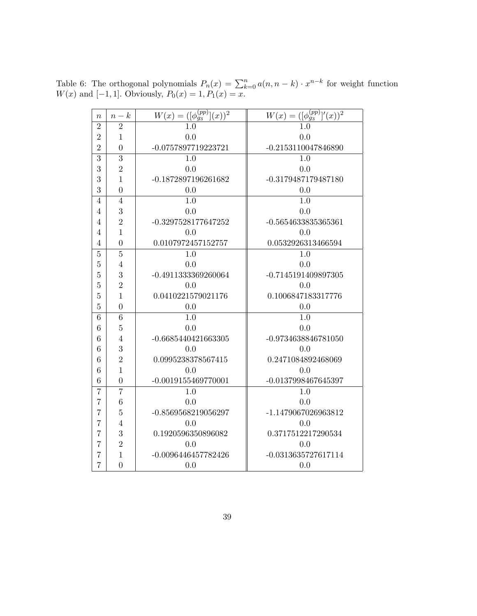Table 6: The orthogonal polynomials  $P_n(x) = \sum_{k=0}^n a(n, n-k) \cdot x^{n-k}$  for weight function  $W(x)$  and [-1, 1]. Obviously,  $P_0(x) = 1, P_1(x) = x$ .

| $\boldsymbol{n}$ | $n-k$            | $([\phi_{g_3}^{(pp)}]$<br>$(x)$ <sup>2</sup><br>$W(x) =$ | $([\phi_{g_3}^{(pp)}]'(x))^2$<br>$W(x) =$ |
|------------------|------------------|----------------------------------------------------------|-------------------------------------------|
| $\overline{2}$   | $\overline{2}$   | $1.0\,$                                                  | 1.0                                       |
| $\overline{2}$   | $\mathbf{1}$     | 0.0                                                      | 0.0                                       |
| $\overline{2}$   | $\overline{0}$   | $-0.0757897719223721$                                    | $-0.2153110047846890$                     |
| $\overline{3}$   | $\overline{3}$   | 1.0                                                      | 1.0                                       |
| 3                | $\overline{2}$   | 0.0                                                      | 0.0                                       |
| 3                | $\mathbf{1}$     | $-0.1872897196261682$                                    | $-0.3179487179487180$                     |
| 3                | $\overline{0}$   | 0.0                                                      | 0.0                                       |
| $\overline{4}$   | $\overline{4}$   | 1.0                                                      | $\overline{1.0}$                          |
| 4                | 3                | 0.0                                                      | 0.0                                       |
| 4                | $\overline{2}$   | -0.3297528177647252                                      | $-0.5654633835365361$                     |
| 4                | $\mathbf{1}$     | 0.0                                                      | 0.0                                       |
| $\overline{4}$   | $\overline{0}$   | 0.0107972457152757                                       | 0.0532926313466594                        |
| $\overline{5}$   | $\overline{5}$   | 1.0                                                      | 1.0                                       |
| $\overline{5}$   | $\overline{4}$   | 0.0                                                      | 0.0                                       |
| $\overline{5}$   | 3                | $-0.4911333369260064$                                    | $-0.7145191409897305$                     |
| $\overline{5}$   | $\overline{2}$   | 0.0                                                      | 0.0                                       |
| $\overline{5}$   | $\mathbf{1}$     | 0.0410221579021176                                       | 0.1006847183317776                        |
| $\overline{5}$   | $\overline{0}$   | 0.0                                                      | 0.0                                       |
| $\overline{6}$   | $\overline{6}$   | 1.0                                                      | 1.0                                       |
| 6                | $\overline{5}$   | 0.0                                                      | 0.0                                       |
| 6                | $\overline{4}$   | $-0.6685440421663305$                                    | -0.9734638846781050                       |
| 6                | 3                | 0.0                                                      | 0.0                                       |
| $6\phantom{.}6$  | $\overline{2}$   | 0.0995238378567415                                       | 0.2471084892468069                        |
| 6                | $\mathbf{1}$     | 0.0                                                      | 0.0                                       |
| 6                | $\boldsymbol{0}$ | $-0.0019155469770001$                                    | $-0.0137998467645397$                     |
| 7                | $\overline{7}$   | 1.0                                                      | 1.0                                       |
| 7                | $\overline{6}$   | 0.0                                                      | 0.0                                       |
| 7                | $\overline{5}$   | -0.8569568219056297                                      | -1.1479067026963812                       |
| 7                | $\overline{4}$   | 0.0                                                      | 0.0                                       |
| $\overline{7}$   | 3                | 0.1920596350896082                                       | 0.3717512217290534                        |
| 7                | $\overline{2}$   | 0.0                                                      | 0.0                                       |
| 7                | $\mathbf{1}$     | $-0.0096446457782426$                                    | $-0.0313635727617114$                     |
| $\overline{7}$   | $\overline{0}$   | 0.0                                                      | 0.0                                       |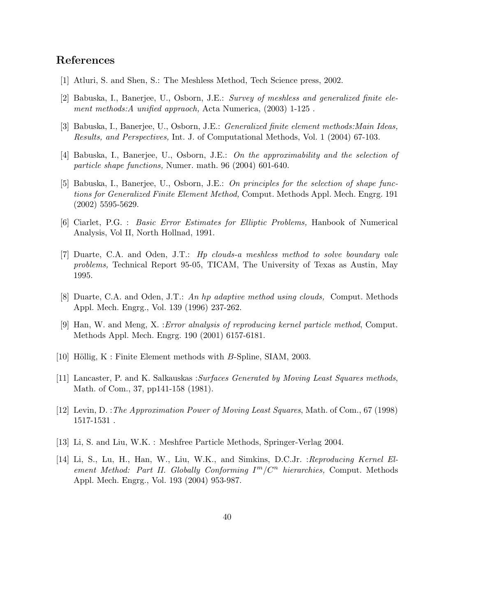# References

- [1] Atluri, S. and Shen, S.: The Meshless Method, Tech Science press, 2002.
- [2] Babuska, I., Banerjee, U., Osborn, J.E.: Survey of meshless and generalized finite element methods:A unified appraoch, Acta Numerica, (2003) 1-125 .
- [3] Babuska, I., Banerjee, U., Osborn, J.E.: Generalized finite element methods:Main Ideas, Results, and Perspectives, Int. J. of Computational Methods, Vol. 1 (2004) 67-103.
- [4] Babuska, I., Banerjee, U., Osborn, J.E.: On the approximability and the selection of particle shape functions, Numer. math. 96 (2004) 601-640.
- [5] Babuska, I., Banerjee, U., Osborn, J.E.: On principles for the selection of shape functions for Generalized Finite Element Method, Comput. Methods Appl. Mech. Engrg. 191 (2002) 5595-5629.
- [6] Ciarlet, P.G. : Basic Error Estimates for Elliptic Problems, Hanbook of Numerical Analysis, Vol II, North Hollnad, 1991.
- [7] Duarte, C.A. and Oden, J.T.: Hp clouds-a meshless method to solve boundary vale problems, Technical Report 95-05, TICAM, The University of Texas as Austin, May 1995.
- [8] Duarte, C.A. and Oden, J.T.: An hp adaptive method using clouds, Comput. Methods Appl. Mech. Engrg., Vol. 139 (1996) 237-262.
- [9] Han, W. and Meng, X. :Error alnalysis of reproducing kernel particle method, Comput. Methods Appl. Mech. Engrg. 190 (2001) 6157-6181.
- [10] Höllig, K : Finite Element methods with  $B$ -Spline, SIAM, 2003.
- [11] Lancaster, P. and K. Salkauskas : Surfaces Generated by Moving Least Squares methods, Math. of Com., 37, pp141-158 (1981).
- [12] Levin, D. :The Approximation Power of Moving Least Squares, Math. of Com., 67 (1998) 1517-1531 .
- [13] Li, S. and Liu, W.K. : Meshfree Particle Methods, Springer-Verlag 2004.
- [14] Li, S., Lu, H., Han, W., Liu, W.K., and Simkins, D.C.Jr. : Reproducing Kernel Element Method: Part II. Globally Conforming  $I^m/C^n$  hierarchies, Comput. Methods Appl. Mech. Engrg., Vol. 193 (2004) 953-987.